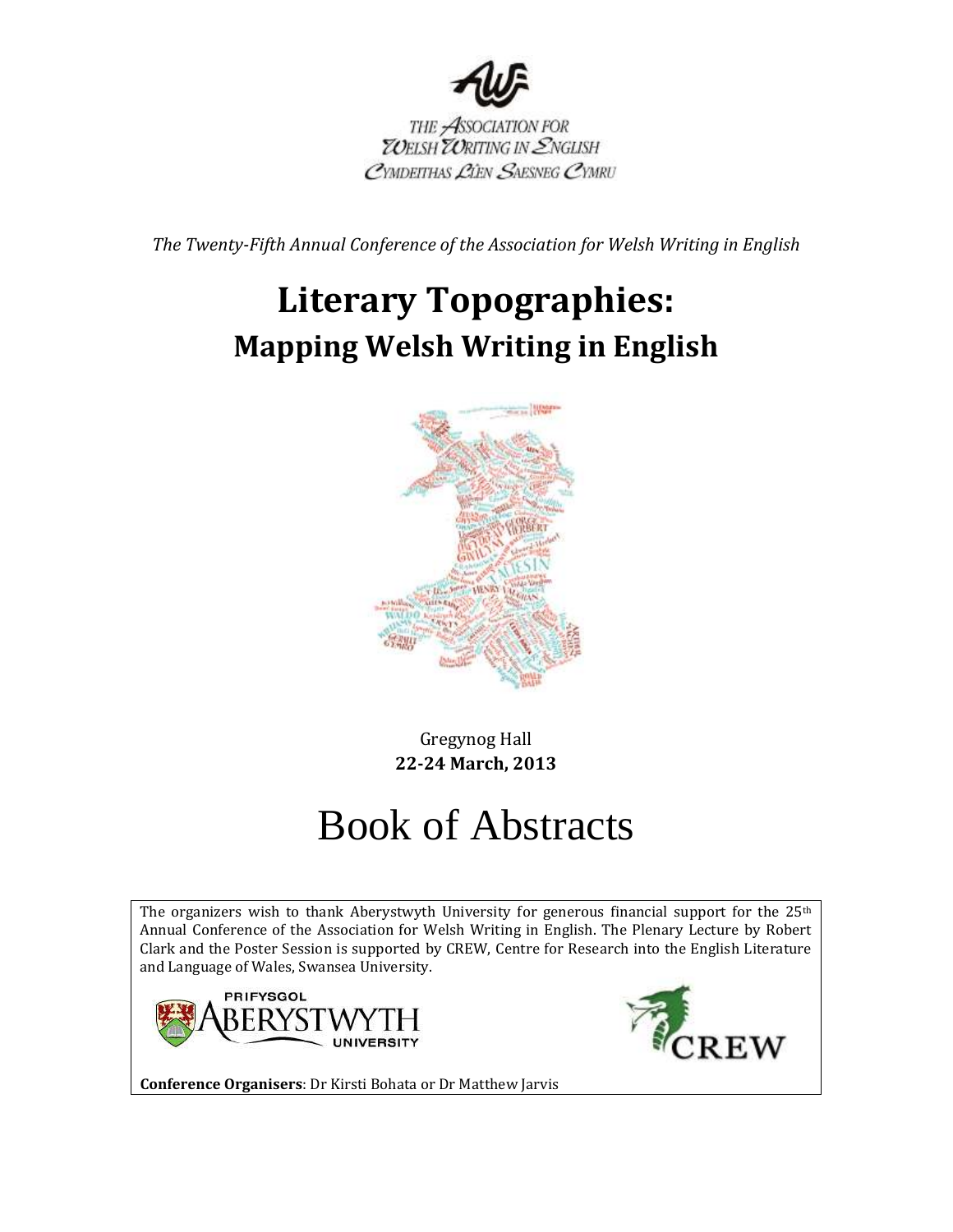

THE ASSOCIATION FOR<br>TOELSH TORITING IN ENGLISH CYMDEITHAS LIEN SAESNEG CYMRU

*The Twenty-Fifth Annual Conference of the Association for Welsh Writing in English*

# **Literary Topographies: Mapping Welsh Writing in English**



Gregynog Hall **22-24 March, 2013**

# Book of Abstracts

The organizers wish to thank Aberystwyth University for generous financial support for the  $25<sup>th</sup>$ Annual Conference of the Association for Welsh Writing in English. The Plenary Lecture by Robert Clark and the Poster Session is supported by CREW, Centre for Research into the English Literature and Language of Wales, Swansea University.





**Conference Organisers**: Dr Kirsti Bohata or Dr Matthew Jarvis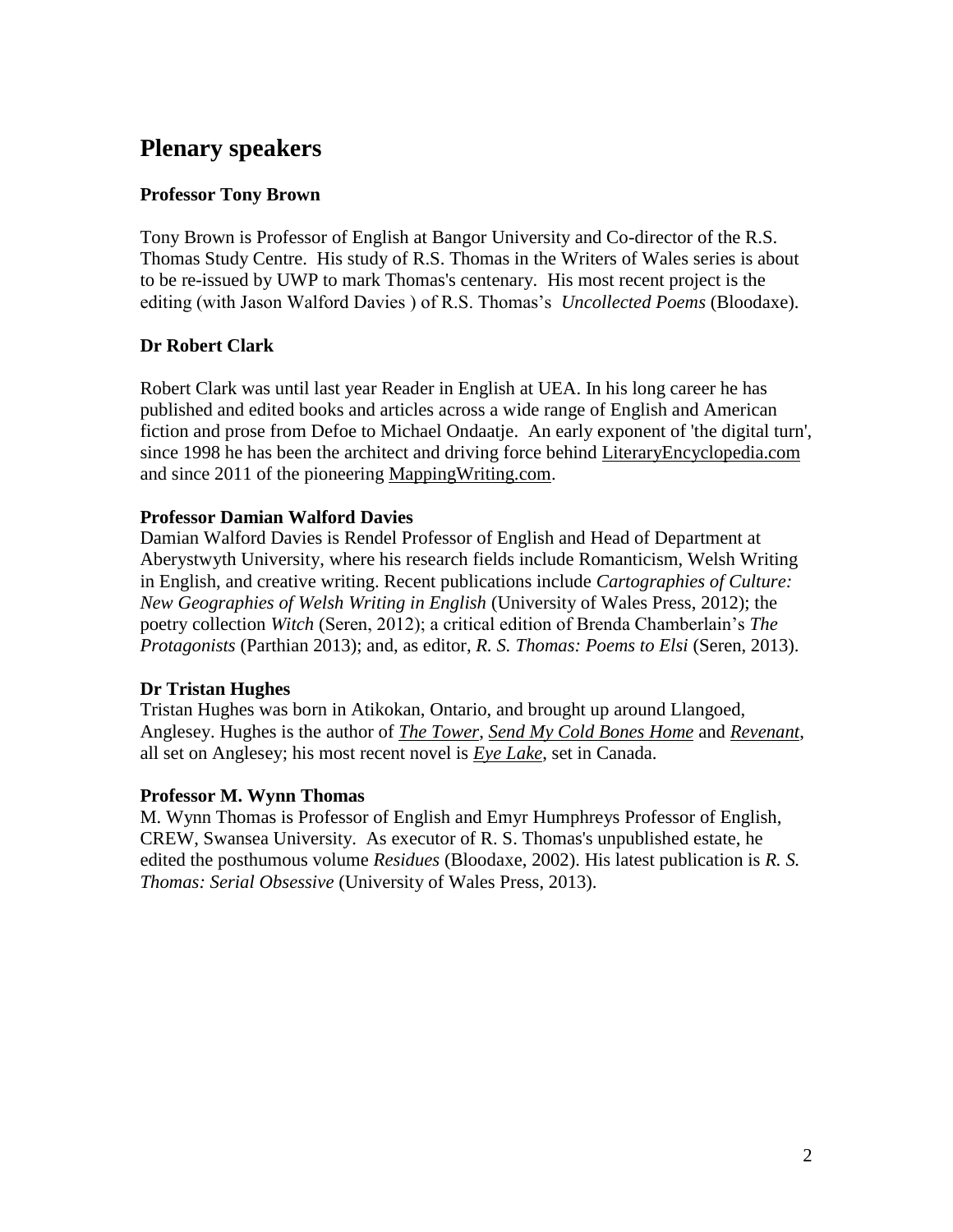# **Plenary speakers**

# **Professor Tony Brown**

Tony Brown is Professor of English at Bangor University and Co-director of the R.S. Thomas Study Centre. His study of R.S. Thomas in the Writers of Wales series is about to be re-issued by UWP to mark Thomas's centenary. His most recent project is the editing (with Jason Walford Davies ) of R.S. Thomas's *Uncollected Poems* (Bloodaxe).

# **Dr Robert Clark**

Robert Clark was until last year Reader in English at UEA. In his long career he has published and edited books and articles across a wide range of English and American fiction and prose from Defoe to Michael Ondaatie. An early exponent of 'the digital turn', since 1998 he has been the architect and driving force behind [LiteraryEncyclopedia.com](https://home.swan.ac.uk/uniquesigb3a5efea452c573c7e16d7492b27155a/uniquesig1/exchweb/bin/redir.asp?URL=http://LiteraryEncyclopedia.com) and since 2011 of the pioneering [MappingWriting.com.](https://home.swan.ac.uk/uniquesigb3a5efea452c573c7e16d7492b27155a/uniquesig1/exchweb/bin/redir.asp?URL=http://MappingWriting.com)

# **Professor Damian Walford Davies**

Damian Walford Davies is Rendel Professor of English and Head of Department at Aberystwyth University, where his research fields include Romanticism, Welsh Writing in English, and creative writing. Recent publications include *Cartographies of Culture: New Geographies of Welsh Writing in English* (University of Wales Press, 2012); the poetry collection *Witch* (Seren, 2012); a critical edition of Brenda Chamberlain's *The Protagonists* (Parthian 2013); and, as editor, *R. S. Thomas: Poems to Elsi* (Seren, 2013).

# **Dr Tristan Hughes**

Tristan Hughes was born in Atikokan, Ontario, and brought up around Llangoed, Anglesey. Hughes is the author of *[The Tower](http://www.newwelshreview.com/bantani.php?page=article&url=http%3A%2F%2Fwww.gwales.com%2Fbibliographic%2F%3Fsource%3Dnwr%26isbn%3D9781902638362)*, *[Send My Cold Bones Home](http://www.newwelshreview.com/bantani.php?page=article&url=http%3A%2F%2Fwww.gwales.com%2Fbibliographic%2F%3Fsource%3Dnwr%26isbn%3D9781902638768)* and *[Revenant](http://www.newwelshreview.com/bantani.php?page=article&url=http%3A%2F%2Fwww.gwales.com%2Fbibliographic%2F%3Fsource%3Dnwr%26isbn%3D9780330451956)*, all set on Anglesey; his most recent novel is *[Eye Lake](http://www.newwelshreview.com/bantani.php?page=article&url=http%3A%2F%2Fwww.gwales.com%2Fbibliographic%2F%3Fsource%3Dnwr%26isbn%3D9780330451987)*, set in Canada.

# **Professor M. Wynn Thomas**

M. Wynn Thomas is Professor of English and Emyr Humphreys Professor of English, CREW, Swansea University. As executor of R. S. Thomas's unpublished estate, he edited the posthumous volume *Residues* (Bloodaxe, 2002). His latest publication is *R. S. Thomas: Serial Obsessive* (University of Wales Press, 2013).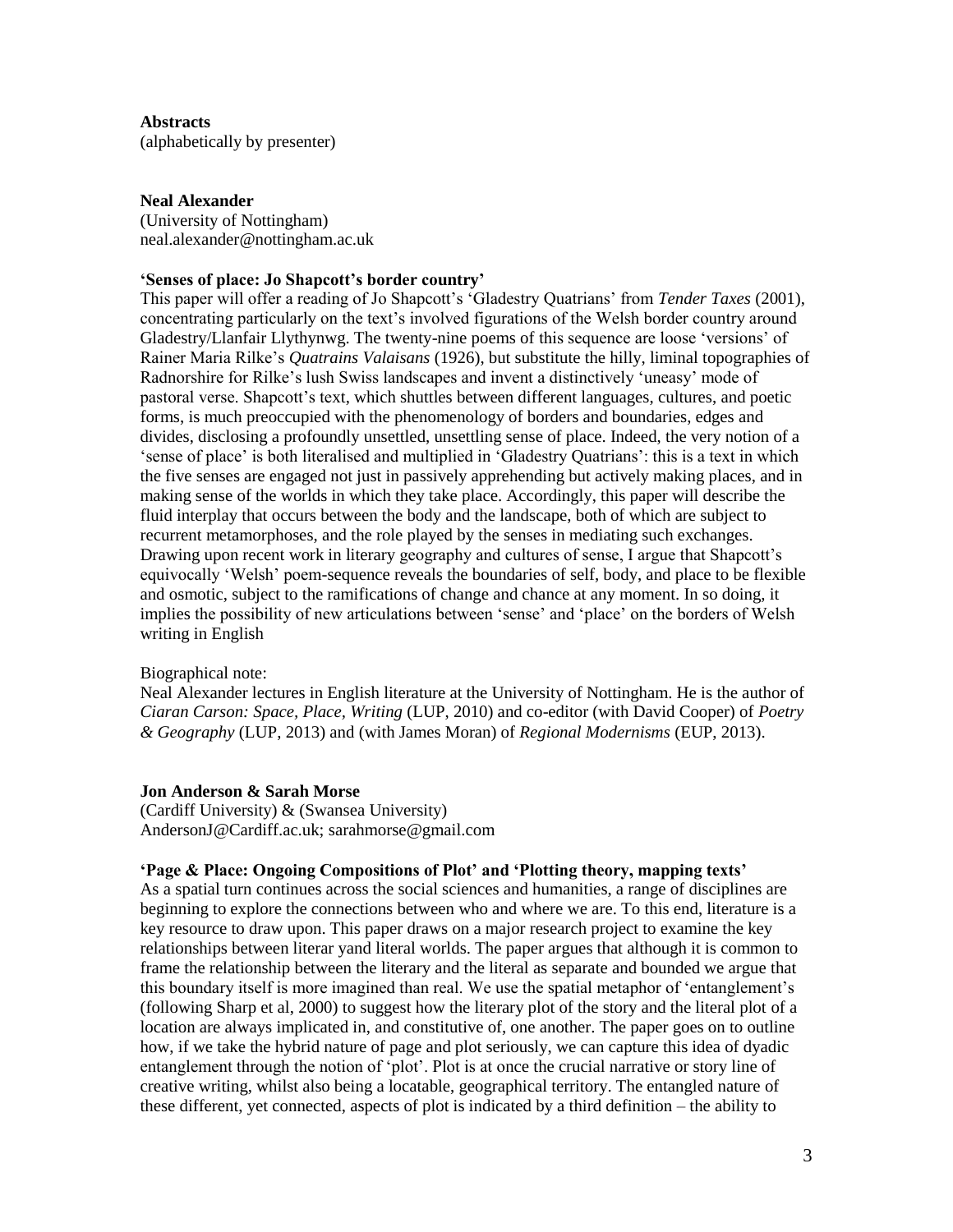### **Abstracts**

(alphabetically by presenter)

# **Neal Alexander**

(University of Nottingham) neal.alexander@nottingham.ac.uk

#### **'Senses of place: Jo Shapcott's border country'**

This paper will offer a reading of Jo Shapcott's 'Gladestry Quatrians' from *Tender Taxes* (2001), concentrating particularly on the text's involved figurations of the Welsh border country around Gladestry/Llanfair Llythynwg. The twenty-nine poems of this sequence are loose 'versions' of Rainer Maria Rilke's *Quatrains Valaisans* (1926), but substitute the hilly, liminal topographies of Radnorshire for Rilke's lush Swiss landscapes and invent a distinctively 'uneasy' mode of pastoral verse. Shapcott's text, which shuttles between different languages, cultures, and poetic forms, is much preoccupied with the phenomenology of borders and boundaries, edges and divides, disclosing a profoundly unsettled, unsettling sense of place. Indeed, the very notion of a 'sense of place' is both literalised and multiplied in 'Gladestry Quatrians': this is a text in which the five senses are engaged not just in passively apprehending but actively making places, and in making sense of the worlds in which they take place. Accordingly, this paper will describe the fluid interplay that occurs between the body and the landscape, both of which are subject to recurrent metamorphoses, and the role played by the senses in mediating such exchanges. Drawing upon recent work in literary geography and cultures of sense, I argue that Shapcott's equivocally 'Welsh' poem-sequence reveals the boundaries of self, body, and place to be flexible and osmotic, subject to the ramifications of change and chance at any moment. In so doing, it implies the possibility of new articulations between 'sense' and 'place' on the borders of Welsh writing in English

# Biographical note:

Neal Alexander lectures in English literature at the University of Nottingham. He is the author of *Ciaran Carson: Space, Place, Writing* (LUP, 2010) and co-editor (with David Cooper) of *Poetry & Geography* (LUP, 2013) and (with James Moran) of *Regional Modernisms* (EUP, 2013).

# **Jon Anderson & Sarah Morse**

(Cardiff University) & (Swansea University) AndersonJ@Cardiff.ac.uk; sarahmorse@gmail.com

#### **'Page & Place: Ongoing Compositions of Plot' and 'Plotting theory, mapping texts'**

As a spatial turn continues across the social sciences and humanities, a range of disciplines are beginning to explore the connections between who and where we are. To this end, literature is a key resource to draw upon. This paper draws on a major research project to examine the key relationships between literar yand literal worlds. The paper argues that although it is common to frame the relationship between the literary and the literal as separate and bounded we argue that this boundary itself is more imagined than real. We use the spatial metaphor of 'entanglement's (following Sharp et al, 2000) to suggest how the literary plot of the story and the literal plot of a location are always implicated in, and constitutive of, one another. The paper goes on to outline how, if we take the hybrid nature of page and plot seriously, we can capture this idea of dyadic entanglement through the notion of 'plot'. Plot is at once the crucial narrative or story line of creative writing, whilst also being a locatable, geographical territory. The entangled nature of these different, yet connected, aspects of plot is indicated by a third definition – the ability to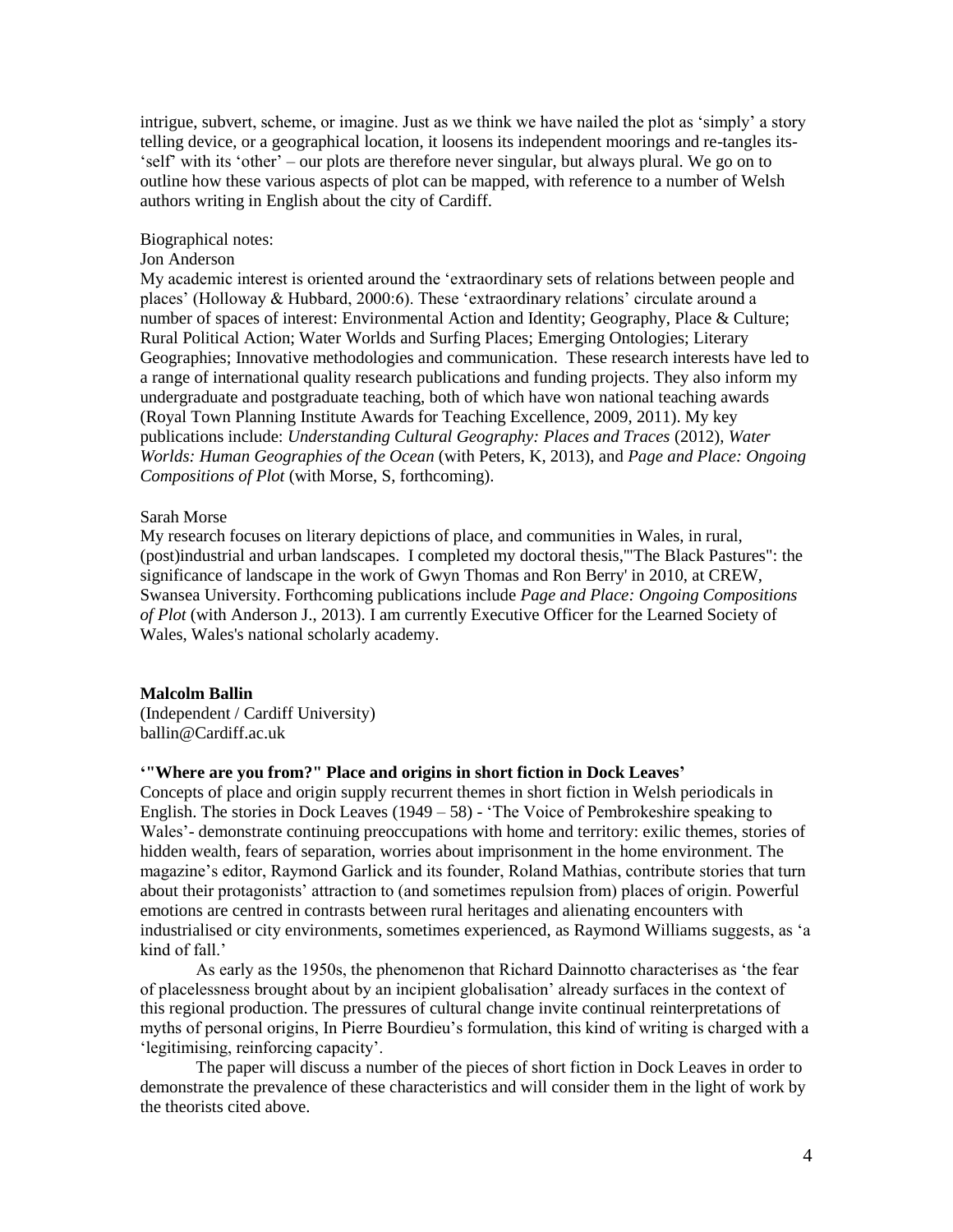intrigue, subvert, scheme, or imagine. Just as we think we have nailed the plot as 'simply' a story telling device, or a geographical location, it loosens its independent moorings and re-tangles its- 'self' with its 'other' – our plots are therefore never singular, but always plural. We go on to outline how these various aspects of plot can be mapped, with reference to a number of Welsh authors writing in English about the city of Cardiff.

# Biographical notes:

#### Jon Anderson

My academic interest is oriented around the 'extraordinary sets of relations between people and places' (Holloway & Hubbard, 2000:6). These 'extraordinary relations' circulate around a number of spaces of interest: Environmental Action and Identity; Geography, Place & Culture; Rural Political Action; Water Worlds and Surfing Places; Emerging Ontologies; Literary Geographies; Innovative methodologies and communication. These research interests have led to a range of international quality research publications and funding projects. They also inform my undergraduate and postgraduate teaching, both of which have won national teaching awards (Royal Town Planning Institute Awards for Teaching Excellence, 2009, 2011). My key publications include: *Understanding Cultural Geography: Places and Traces* (2012), *Water Worlds: Human Geographies of the Ocean* (with Peters, K, 2013), and *Page and Place: Ongoing Compositions of Plot* (with Morse, S, forthcoming).

#### Sarah Morse

My research focuses on literary depictions of place, and communities in Wales, in rural, (post)industrial and urban landscapes. I completed my doctoral thesis,'"The Black Pastures": the significance of landscape in the work of Gwyn Thomas and Ron Berry' in 2010, at CREW, Swansea University. Forthcoming publications include *Page and Place: Ongoing Compositions of Plot* (with Anderson J., 2013). I am currently Executive Officer for the Learned Society of Wales, Wales's national scholarly academy.

#### **Malcolm Ballin**

(Independent / Cardiff University) ballin@Cardiff.ac.uk

# **'"Where are you from?" Place and origins in short fiction in Dock Leaves'**

Concepts of place and origin supply recurrent themes in short fiction in Welsh periodicals in English. The stories in Dock Leaves  $(1949 - 58)$  - 'The Voice of Pembrokeshire speaking to Wales'- demonstrate continuing preoccupations with home and territory: exilic themes, stories of hidden wealth, fears of separation, worries about imprisonment in the home environment. The magazine's editor, Raymond Garlick and its founder, Roland Mathias, contribute stories that turn about their protagonists' attraction to (and sometimes repulsion from) places of origin. Powerful emotions are centred in contrasts between rural heritages and alienating encounters with industrialised or city environments, sometimes experienced, as Raymond Williams suggests, as 'a kind of fall<sup>'</sup>

As early as the 1950s, the phenomenon that Richard Dainnotto characterises as 'the fear of placelessness brought about by an incipient globalisation' already surfaces in the context of this regional production. The pressures of cultural change invite continual reinterpretations of myths of personal origins, In Pierre Bourdieu's formulation, this kind of writing is charged with a 'legitimising, reinforcing capacity'.

The paper will discuss a number of the pieces of short fiction in Dock Leaves in order to demonstrate the prevalence of these characteristics and will consider them in the light of work by the theorists cited above.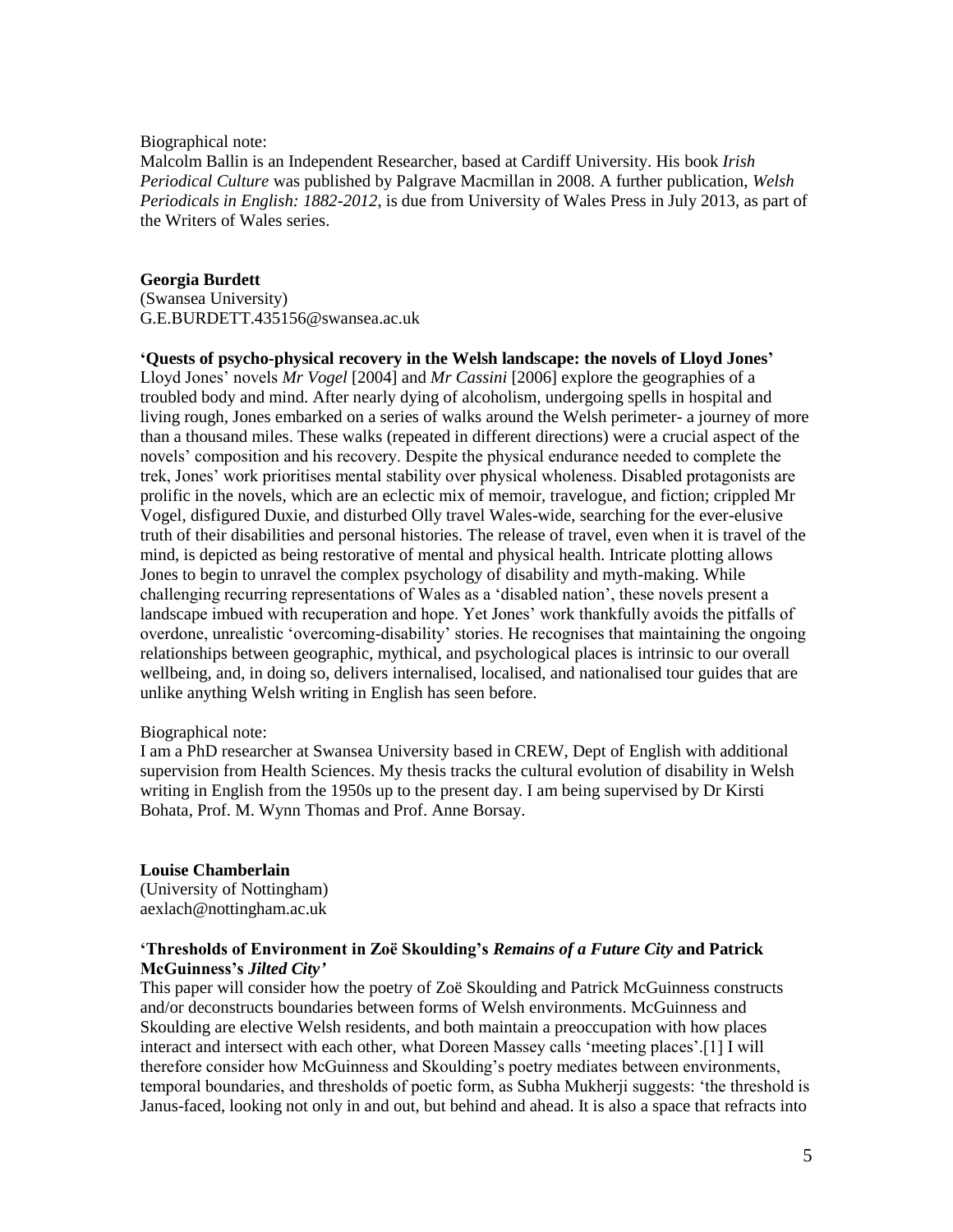Biographical note:

Malcolm Ballin is an Independent Researcher, based at Cardiff University. His book *Irish Periodical Culture* was published by Palgrave Macmillan in 2008. A further publication, *Welsh Periodicals in English: 1882-2012*, is due from University of Wales Press in July 2013, as part of the Writers of Wales series.

# **Georgia Burdett**

(Swansea University) G.E.BURDETT.435156@swansea.ac.uk

# **'Quests of psycho-physical recovery in the Welsh landscape: the novels of Lloyd Jones'**

Lloyd Jones' novels *Mr Vogel* [2004] and *Mr Cassini* [2006] explore the geographies of a troubled body and mind. After nearly dying of alcoholism, undergoing spells in hospital and living rough, Jones embarked on a series of walks around the Welsh perimeter- a journey of more than a thousand miles. These walks (repeated in different directions) were a crucial aspect of the novels' composition and his recovery. Despite the physical endurance needed to complete the trek, Jones' work prioritises mental stability over physical wholeness. Disabled protagonists are prolific in the novels, which are an eclectic mix of memoir, travelogue, and fiction; crippled Mr Vogel, disfigured Duxie, and disturbed Olly travel Wales-wide, searching for the ever-elusive truth of their disabilities and personal histories. The release of travel, even when it is travel of the mind, is depicted as being restorative of mental and physical health. Intricate plotting allows Jones to begin to unravel the complex psychology of disability and myth-making. While challenging recurring representations of Wales as a 'disabled nation', these novels present a landscape imbued with recuperation and hope. Yet Jones' work thankfully avoids the pitfalls of overdone, unrealistic 'overcoming-disability' stories. He recognises that maintaining the ongoing relationships between geographic, mythical, and psychological places is intrinsic to our overall wellbeing, and, in doing so, delivers internalised, localised, and nationalised tour guides that are unlike anything Welsh writing in English has seen before.

#### Biographical note:

I am a PhD researcher at Swansea University based in CREW, Dept of English with additional supervision from Health Sciences. My thesis tracks the cultural evolution of disability in Welsh writing in English from the 1950s up to the present day. I am being supervised by Dr Kirsti Bohata, Prof. M. Wynn Thomas and Prof. Anne Borsay.

#### **Louise Chamberlain**

(University of Nottingham) aexlach@nottingham.ac.uk

# **'Thresholds of Environment in Zoë Skoulding's** *Remains of a Future City* **and Patrick McGuinness's** *Jilted City'*

This paper will consider how the poetry of Zoë Skoulding and Patrick McGuinness constructs and/or deconstructs boundaries between forms of Welsh environments. McGuinness and Skoulding are elective Welsh residents, and both maintain a preoccupation with how places interact and intersect with each other, what Doreen Massey calls 'meeting places'.[1] I will therefore consider how McGuinness and Skoulding's poetry mediates between environments, temporal boundaries, and thresholds of poetic form, as Subha Mukherji suggests: 'the threshold is Janus-faced, looking not only in and out, but behind and ahead. It is also a space that refracts into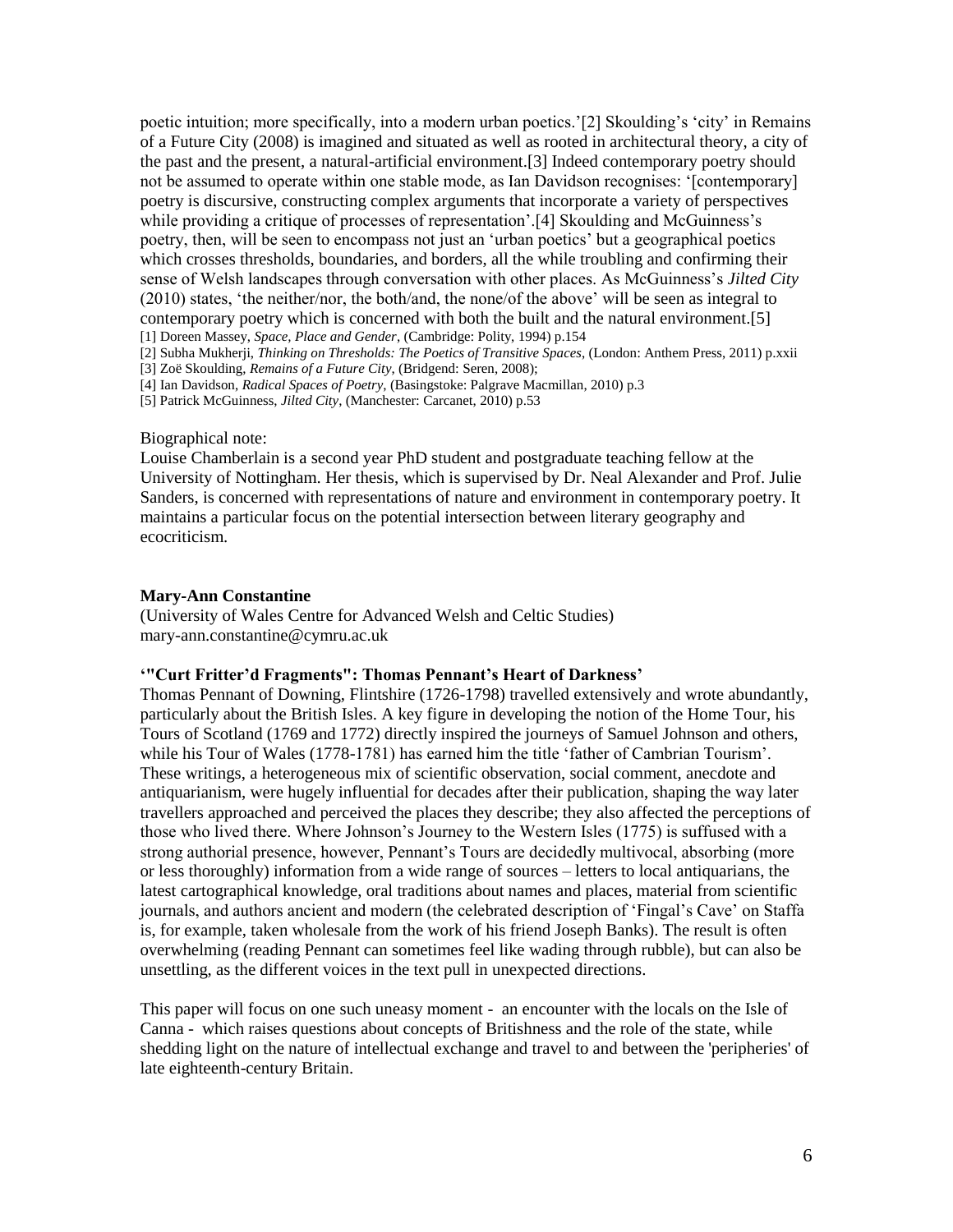poetic intuition; more specifically, into a modern urban poetics.'[2] Skoulding's 'city' in Remains of a Future City (2008) is imagined and situated as well as rooted in architectural theory, a city of the past and the present, a natural-artificial environment.[3] Indeed contemporary poetry should not be assumed to operate within one stable mode, as Ian Davidson recognises: '[contemporary] poetry is discursive, constructing complex arguments that incorporate a variety of perspectives while providing a critique of processes of representation'.<sup>[4]</sup> Skoulding and McGuinness's poetry, then, will be seen to encompass not just an 'urban poetics' but a geographical poetics which crosses thresholds, boundaries, and borders, all the while troubling and confirming their sense of Welsh landscapes through conversation with other places. As McGuinness's *Jilted City* (2010) states, 'the neither/nor, the both/and, the none/of the above' will be seen as integral to contemporary poetry which is concerned with both the built and the natural environment.[5] [1] Doreen Massey, *Space, Place and Gender*, (Cambridge: Polity, 1994) p.154

[2] Subha Mukherji, *Thinking on Thresholds: The Poetics of Transitive Spaces*, (London: Anthem Press, 2011) p.xxii [3] Zoë Skoulding, *Remains of a Future City*, (Bridgend: Seren, 2008);

[4] Ian Davidson, *Radical Spaces of Poetry*, (Basingstoke: Palgrave Macmillan, 2010) p.3

[5] Patrick McGuinness, *Jilted City*, (Manchester: Carcanet, 2010) p.53

#### Biographical note:

Louise Chamberlain is a second year PhD student and postgraduate teaching fellow at the University of Nottingham. Her thesis, which is supervised by Dr. Neal Alexander and Prof. Julie Sanders, is concerned with representations of nature and environment in contemporary poetry. It maintains a particular focus on the potential intersection between literary geography and ecocriticism.

#### **Mary-Ann Constantine**

(University of Wales Centre for Advanced Welsh and Celtic Studies) mary-ann.constantine@cymru.ac.uk

#### **'"Curt Fritter'd Fragments": Thomas Pennant's Heart of Darkness'**

Thomas Pennant of Downing, Flintshire (1726-1798) travelled extensively and wrote abundantly, particularly about the British Isles. A key figure in developing the notion of the Home Tour, his Tours of Scotland (1769 and 1772) directly inspired the journeys of Samuel Johnson and others, while his Tour of Wales (1778-1781) has earned him the title 'father of Cambrian Tourism'. These writings, a heterogeneous mix of scientific observation, social comment, anecdote and antiquarianism, were hugely influential for decades after their publication, shaping the way later travellers approached and perceived the places they describe; they also affected the perceptions of those who lived there. Where Johnson's Journey to the Western Isles (1775) is suffused with a strong authorial presence, however, Pennant's Tours are decidedly multivocal, absorbing (more or less thoroughly) information from a wide range of sources – letters to local antiquarians, the latest cartographical knowledge, oral traditions about names and places, material from scientific journals, and authors ancient and modern (the celebrated description of 'Fingal's Cave' on Staffa is, for example, taken wholesale from the work of his friend Joseph Banks). The result is often overwhelming (reading Pennant can sometimes feel like wading through rubble), but can also be unsettling, as the different voices in the text pull in unexpected directions.

This paper will focus on one such uneasy moment - an encounter with the locals on the Isle of Canna - which raises questions about concepts of Britishness and the role of the state, while shedding light on the nature of intellectual exchange and travel to and between the 'peripheries' of late eighteenth-century Britain.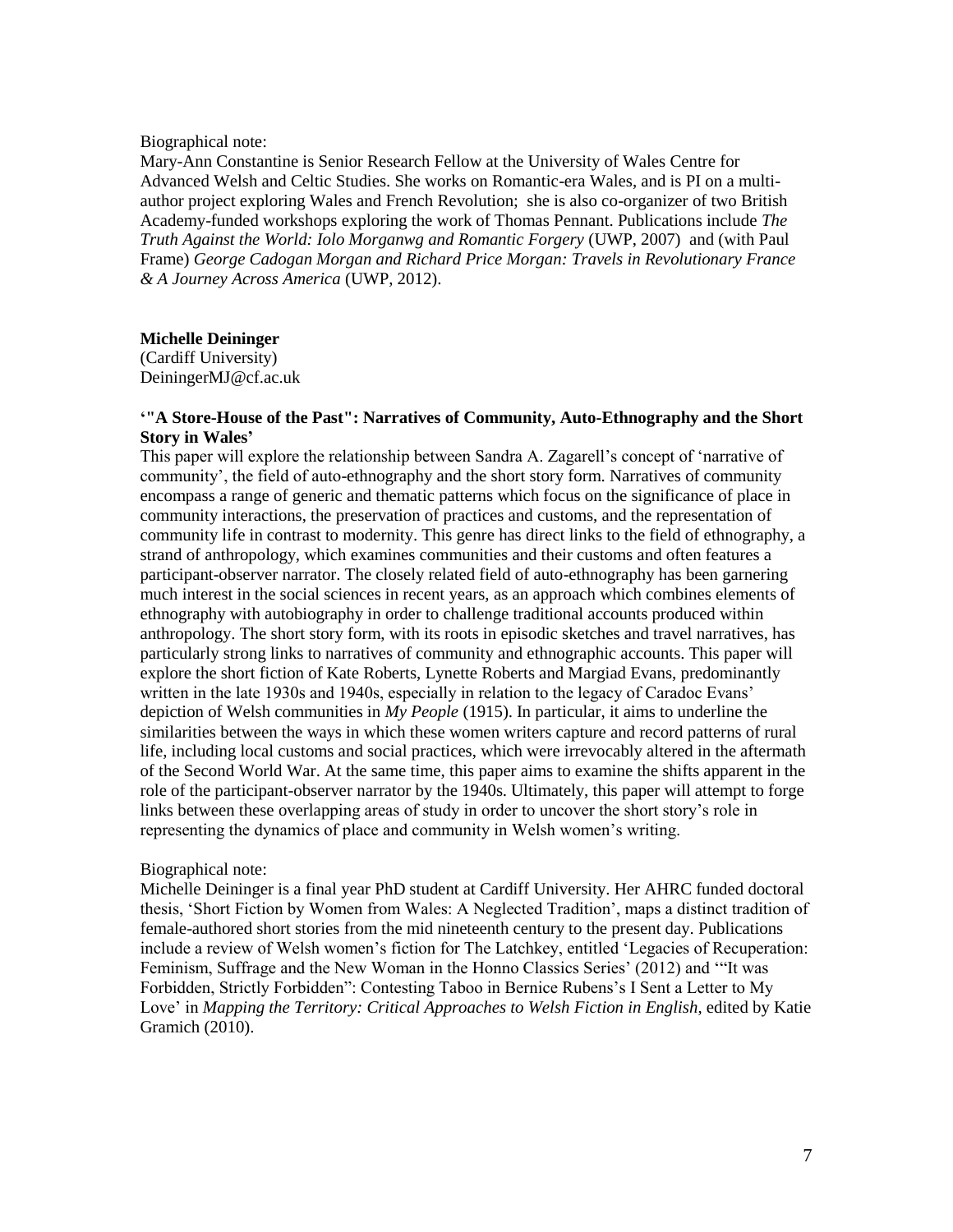#### Biographical note:

Mary-Ann Constantine is Senior Research Fellow at the University of Wales Centre for Advanced Welsh and Celtic Studies. She works on Romantic-era Wales, and is PI on a multiauthor project exploring Wales and French Revolution; she is also co-organizer of two British Academy-funded workshops exploring the work of Thomas Pennant. Publications include *The Truth Against the World: Iolo Morganwg and Romantic Forgery* (UWP, 2007) and (with Paul Frame) *George Cadogan Morgan and Richard Price Morgan: Travels in Revolutionary France & A Journey Across America* (UWP, 2012).

# **Michelle Deininger**

(Cardiff University) DeiningerMJ@cf.ac.uk

#### **'"A Store-House of the Past": Narratives of Community, Auto-Ethnography and the Short Story in Wales'**

This paper will explore the relationship between Sandra A. Zagarell's concept of 'narrative of community', the field of auto-ethnography and the short story form. Narratives of community encompass a range of generic and thematic patterns which focus on the significance of place in community interactions, the preservation of practices and customs, and the representation of community life in contrast to modernity. This genre has direct links to the field of ethnography, a strand of anthropology, which examines communities and their customs and often features a participant-observer narrator. The closely related field of auto-ethnography has been garnering much interest in the social sciences in recent years, as an approach which combines elements of ethnography with autobiography in order to challenge traditional accounts produced within anthropology. The short story form, with its roots in episodic sketches and travel narratives, has particularly strong links to narratives of community and ethnographic accounts. This paper will explore the short fiction of Kate Roberts, Lynette Roberts and Margiad Evans, predominantly written in the late 1930s and 1940s, especially in relation to the legacy of Caradoc Evans' depiction of Welsh communities in *My People* (1915). In particular, it aims to underline the similarities between the ways in which these women writers capture and record patterns of rural life, including local customs and social practices, which were irrevocably altered in the aftermath of the Second World War. At the same time, this paper aims to examine the shifts apparent in the role of the participant-observer narrator by the 1940s. Ultimately, this paper will attempt to forge links between these overlapping areas of study in order to uncover the short story's role in representing the dynamics of place and community in Welsh women's writing.

#### Biographical note:

Michelle Deininger is a final year PhD student at Cardiff University. Her AHRC funded doctoral thesis, 'Short Fiction by Women from Wales: A Neglected Tradition', maps a distinct tradition of female-authored short stories from the mid nineteenth century to the present day. Publications include a review of Welsh women's fiction for The Latchkey, entitled 'Legacies of Recuperation: Feminism, Suffrage and the New Woman in the Honno Classics Series' (2012) and '"It was Forbidden, Strictly Forbidden": Contesting Taboo in Bernice Rubens's I Sent a Letter to My Love' in *Mapping the Territory: Critical Approaches to Welsh Fiction in English*, edited by Katie Gramich (2010).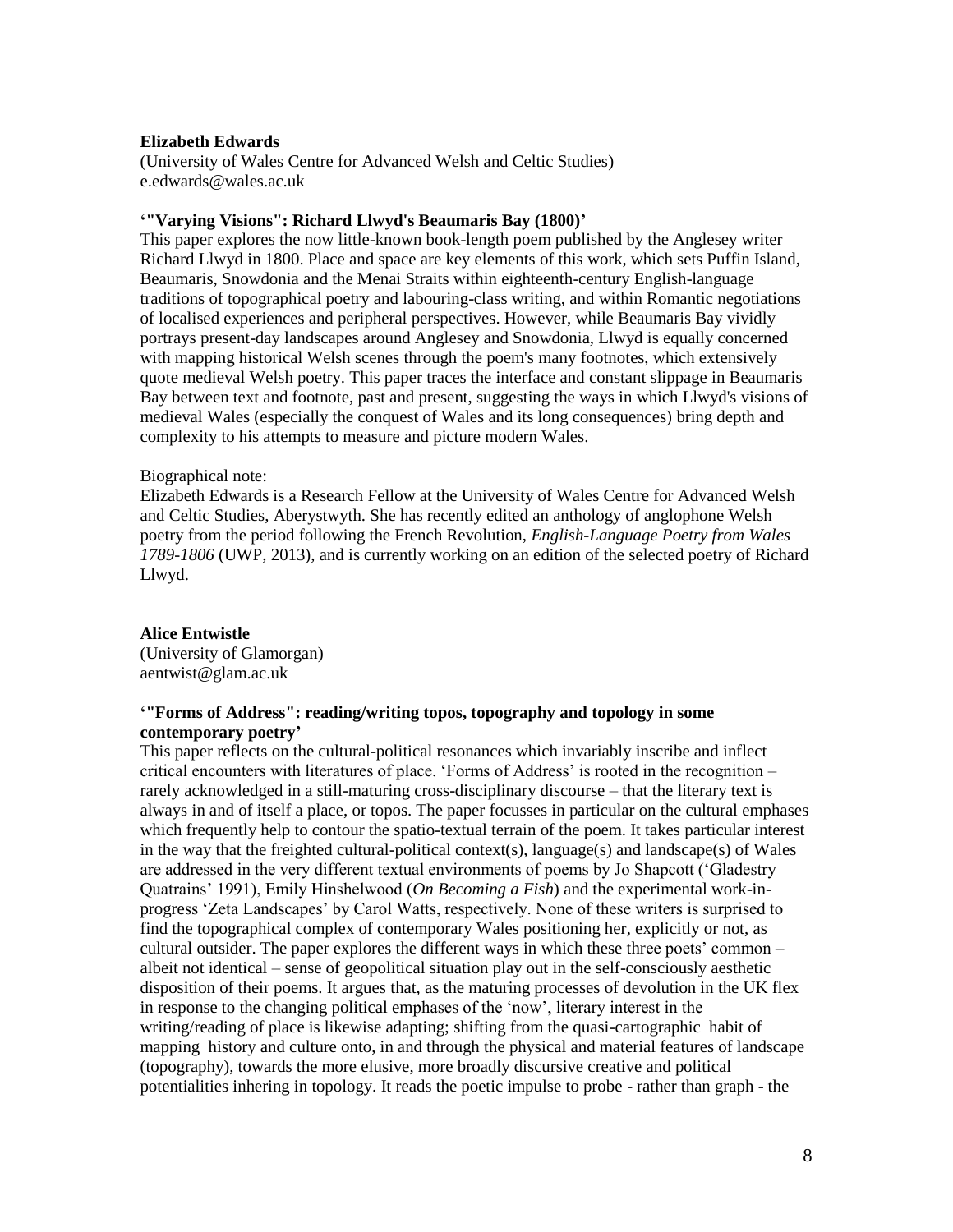### **Elizabeth Edwards**

(University of Wales Centre for Advanced Welsh and Celtic Studies) e.edwards@wales.ac.uk

#### **'"Varying Visions": Richard Llwyd's Beaumaris Bay (1800)'**

This paper explores the now little-known book-length poem published by the Anglesey writer Richard Llwyd in 1800. Place and space are key elements of this work, which sets Puffin Island, Beaumaris, Snowdonia and the Menai Straits within eighteenth-century English-language traditions of topographical poetry and labouring-class writing, and within Romantic negotiations of localised experiences and peripheral perspectives. However, while Beaumaris Bay vividly portrays present-day landscapes around Anglesey and Snowdonia, Llwyd is equally concerned with mapping historical Welsh scenes through the poem's many footnotes, which extensively quote medieval Welsh poetry. This paper traces the interface and constant slippage in Beaumaris Bay between text and footnote, past and present, suggesting the ways in which Llwyd's visions of medieval Wales (especially the conquest of Wales and its long consequences) bring depth and complexity to his attempts to measure and picture modern Wales.

#### Biographical note:

Elizabeth Edwards is a Research Fellow at the University of Wales Centre for Advanced Welsh and Celtic Studies, Aberystwyth. She has recently edited an anthology of anglophone Welsh poetry from the period following the French Revolution, *English-Language Poetry from Wales 1789-1806* (UWP, 2013), and is currently working on an edition of the selected poetry of Richard Llwyd.

#### **Alice Entwistle**

(University of Glamorgan) aentwist@glam.ac.uk

# **'"Forms of Address": reading/writing topos, topography and topology in some contemporary poetry'**

This paper reflects on the cultural-political resonances which invariably inscribe and inflect critical encounters with literatures of place. 'Forms of Address' is rooted in the recognition – rarely acknowledged in a still-maturing cross-disciplinary discourse – that the literary text is always in and of itself a place, or topos. The paper focusses in particular on the cultural emphases which frequently help to contour the spatio-textual terrain of the poem. It takes particular interest in the way that the freighted cultural-political context(s), language(s) and landscape(s) of Wales are addressed in the very different textual environments of poems by Jo Shapcott ('Gladestry Quatrains' 1991), Emily Hinshelwood (*On Becoming a Fish*) and the experimental work-inprogress 'Zeta Landscapes' by Carol Watts, respectively. None of these writers is surprised to find the topographical complex of contemporary Wales positioning her, explicitly or not, as cultural outsider. The paper explores the different ways in which these three poets' common – albeit not identical – sense of geopolitical situation play out in the self-consciously aesthetic disposition of their poems. It argues that, as the maturing processes of devolution in the UK flex in response to the changing political emphases of the 'now', literary interest in the writing/reading of place is likewise adapting; shifting from the quasi-cartographic habit of mapping history and culture onto, in and through the physical and material features of landscape (topography), towards the more elusive, more broadly discursive creative and political potentialities inhering in topology. It reads the poetic impulse to probe - rather than graph - the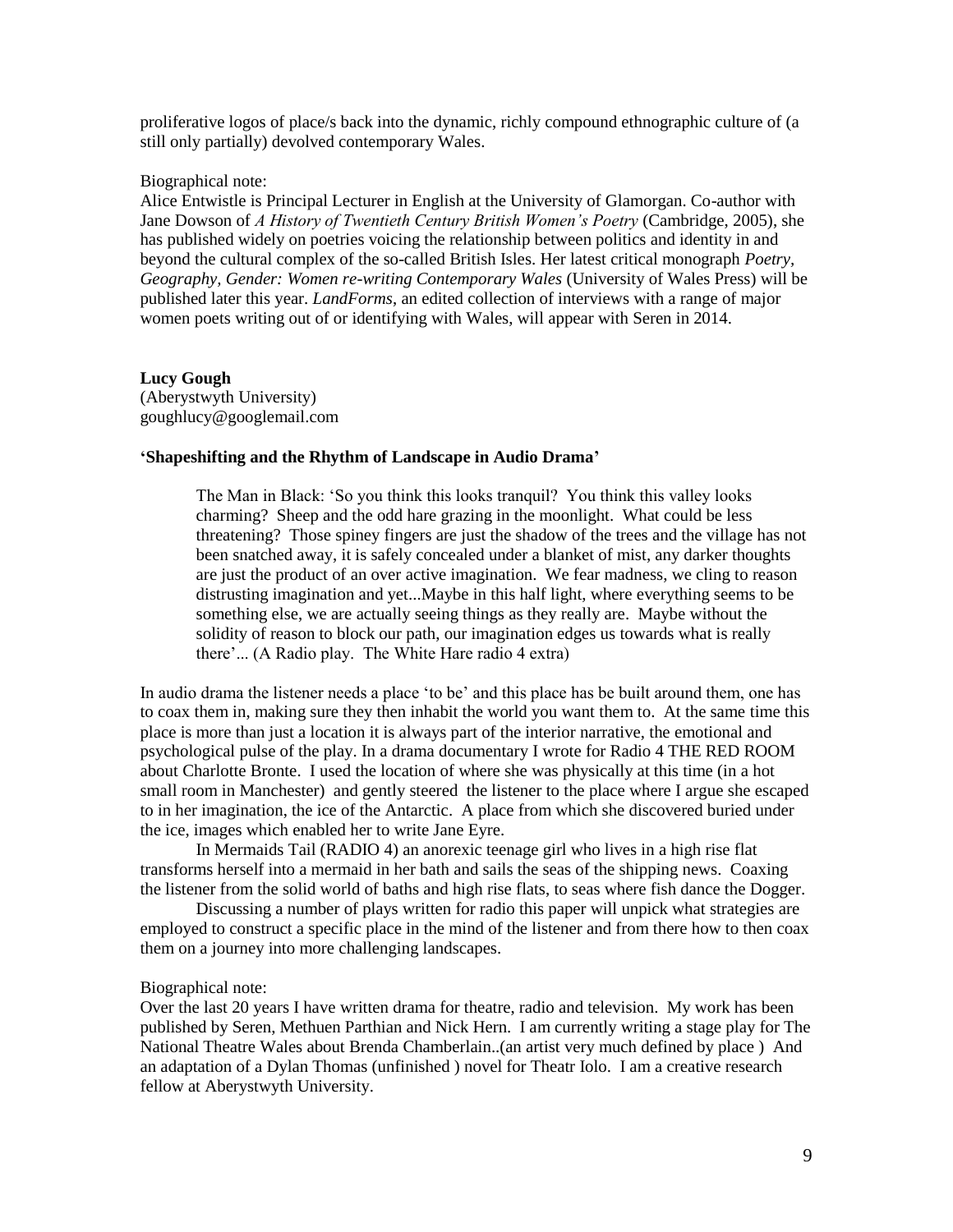proliferative logos of place/s back into the dynamic, richly compound ethnographic culture of (a still only partially) devolved contemporary Wales.

#### Biographical note:

Alice Entwistle is Principal Lecturer in English at the University of Glamorgan. Co-author with Jane Dowson of *A History of Twentieth Century British Women's Poetry* (Cambridge, 2005), she has published widely on poetries voicing the relationship between politics and identity in and beyond the cultural complex of the so-called British Isles. Her latest critical monograph *Poetry, Geography, Gender: Women re-writing Contemporary Wales* (University of Wales Press) will be published later this year. *LandForms*, an edited collection of interviews with a range of major women poets writing out of or identifying with Wales, will appear with Seren in 2014.

# **Lucy Gough**

(Aberystwyth University) goughlucy@googlemail.com

#### **'Shapeshifting and the Rhythm of Landscape in Audio Drama'**

The Man in Black: 'So you think this looks tranquil? You think this valley looks charming? Sheep and the odd hare grazing in the moonlight. What could be less threatening? Those spiney fingers are just the shadow of the trees and the village has not been snatched away, it is safely concealed under a blanket of mist, any darker thoughts are just the product of an over active imagination. We fear madness, we cling to reason distrusting imagination and yet...Maybe in this half light, where everything seems to be something else, we are actually seeing things as they really are. Maybe without the solidity of reason to block our path, our imagination edges us towards what is really there'... (A Radio play. The White Hare radio 4 extra)

In audio drama the listener needs a place 'to be' and this place has be built around them, one has to coax them in, making sure they then inhabit the world you want them to. At the same time this place is more than just a location it is always part of the interior narrative, the emotional and psychological pulse of the play. In a drama documentary I wrote for Radio 4 THE RED ROOM about Charlotte Bronte. I used the location of where she was physically at this time (in a hot small room in Manchester) and gently steered the listener to the place where I argue she escaped to in her imagination, the ice of the Antarctic. A place from which she discovered buried under the ice, images which enabled her to write Jane Eyre.

In Mermaids Tail (RADIO 4) an anorexic teenage girl who lives in a high rise flat transforms herself into a mermaid in her bath and sails the seas of the shipping news. Coaxing the listener from the solid world of baths and high rise flats, to seas where fish dance the Dogger.

Discussing a number of plays written for radio this paper will unpick what strategies are employed to construct a specific place in the mind of the listener and from there how to then coax them on a journey into more challenging landscapes.

#### Biographical note:

Over the last 20 years I have written drama for theatre, radio and television. My work has been published by Seren, Methuen Parthian and Nick Hern. I am currently writing a stage play for The National Theatre Wales about Brenda Chamberlain..(an artist very much defined by place ) And an adaptation of a Dylan Thomas (unfinished ) novel for Theatr Iolo. I am a creative research fellow at Aberystwyth University.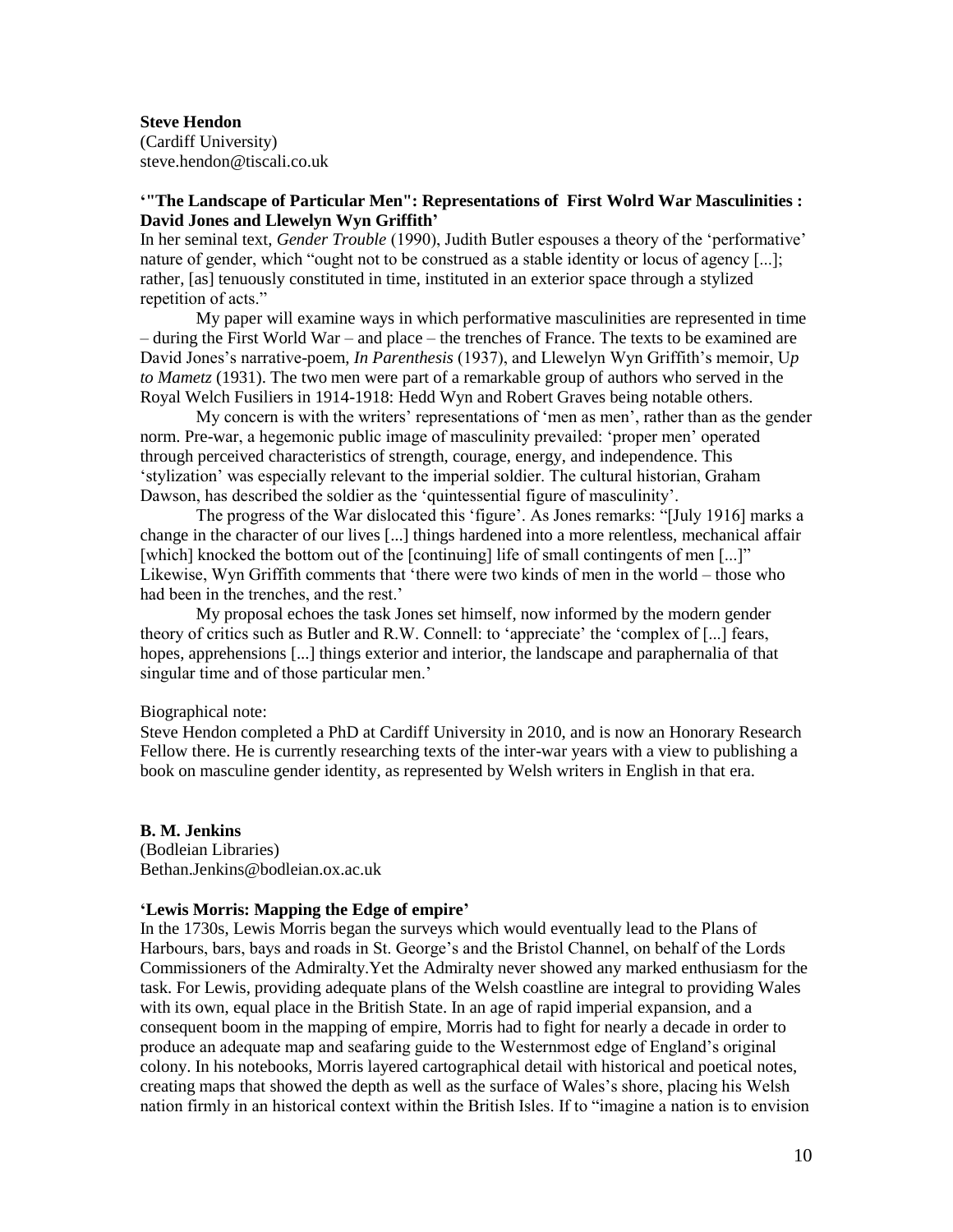#### **Steve Hendon**

(Cardiff University) steve.hendon@tiscali.co.uk

# **'"The Landscape of Particular Men": Representations of First Wolrd War Masculinities : David Jones and Llewelyn Wyn Griffith'**

In her seminal text, *Gender Trouble* (1990), Judith Butler espouses a theory of the 'performative' nature of gender, which "ought not to be construed as a stable identity or locus of agency [...]; rather, [as] tenuously constituted in time, instituted in an exterior space through a stylized repetition of acts."

My paper will examine ways in which performative masculinities are represented in time – during the First World War – and place – the trenches of France. The texts to be examined are David Jones's narrative-poem, *In Parenthesis* (1937), and Llewelyn Wyn Griffith's memoir, U*p to Mametz* (1931). The two men were part of a remarkable group of authors who served in the Royal Welch Fusiliers in 1914-1918: Hedd Wyn and Robert Graves being notable others.

My concern is with the writers' representations of 'men as men', rather than as the gender norm. Pre-war, a hegemonic public image of masculinity prevailed: 'proper men' operated through perceived characteristics of strength, courage, energy, and independence. This 'stylization' was especially relevant to the imperial soldier. The cultural historian, Graham Dawson, has described the soldier as the 'quintessential figure of masculinity'.

The progress of the War dislocated this 'figure'. As Jones remarks: "[July 1916] marks a change in the character of our lives [...] things hardened into a more relentless, mechanical affair [which] knocked the bottom out of the [continuing] life of small contingents of men [...]" Likewise, Wyn Griffith comments that 'there were two kinds of men in the world – those who had been in the trenches, and the rest.'

My proposal echoes the task Jones set himself, now informed by the modern gender theory of critics such as Butler and R.W. Connell: to 'appreciate' the 'complex of [...] fears, hopes, apprehensions [...] things exterior and interior, the landscape and paraphernalia of that singular time and of those particular men.'

#### Biographical note:

Steve Hendon completed a PhD at Cardiff University in 2010, and is now an Honorary Research Fellow there. He is currently researching texts of the inter-war years with a view to publishing a book on masculine gender identity, as represented by Welsh writers in English in that era.

### **B. M. Jenkins**

(Bodleian Libraries) Bethan.Jenkins@bodleian.ox.ac.uk

#### **'Lewis Morris: Mapping the Edge of empire'**

In the 1730s, Lewis Morris began the surveys which would eventually lead to the Plans of Harbours, bars, bays and roads in St. George's and the Bristol Channel, on behalf of the Lords Commissioners of the Admiralty.Yet the Admiralty never showed any marked enthusiasm for the task. For Lewis, providing adequate plans of the Welsh coastline are integral to providing Wales with its own, equal place in the British State. In an age of rapid imperial expansion, and a consequent boom in the mapping of empire, Morris had to fight for nearly a decade in order to produce an adequate map and seafaring guide to the Westernmost edge of England's original colony. In his notebooks, Morris layered cartographical detail with historical and poetical notes, creating maps that showed the depth as well as the surface of Wales's shore, placing his Welsh nation firmly in an historical context within the British Isles. If to "imagine a nation is to envision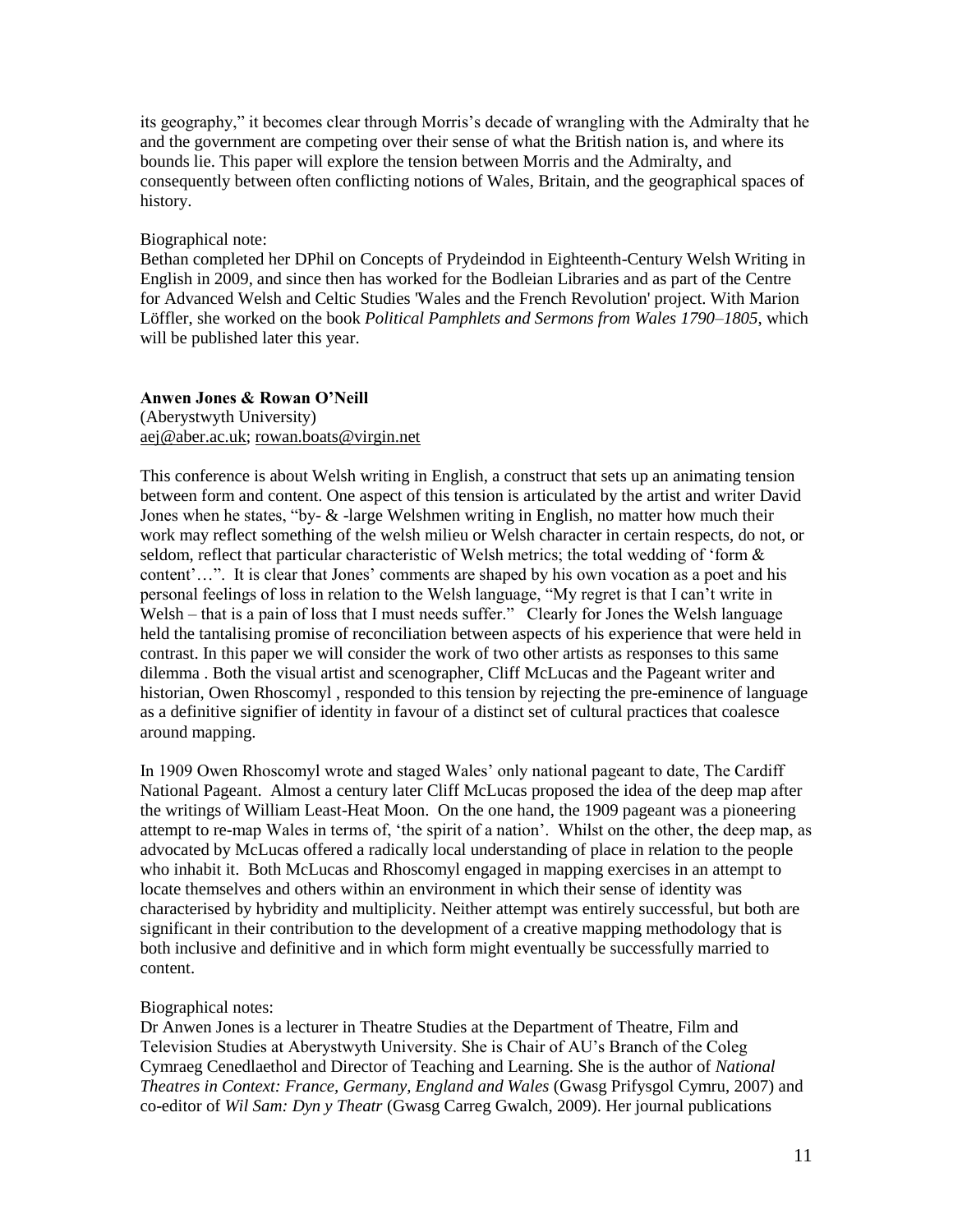its geography," it becomes clear through Morris's decade of wrangling with the Admiralty that he and the government are competing over their sense of what the British nation is, and where its bounds lie. This paper will explore the tension between Morris and the Admiralty, and consequently between often conflicting notions of Wales, Britain, and the geographical spaces of history.

# Biographical note:

Bethan completed her DPhil on Concepts of Prydeindod in Eighteenth-Century Welsh Writing in English in 2009, and since then has worked for the Bodleian Libraries and as part of the Centre for Advanced Welsh and Celtic Studies 'Wales and the French Revolution' project. With Marion Löffler, she worked on the book *Political Pamphlets and Sermons from Wales 1790–1805*, which will be published later this year.

# **Anwen Jones & Rowan O'Neill**

(Aberystwyth University) [aej@aber.ac.uk;](mailto:aej@aber.ac.uk) [rowan.boats@virgin.net](mailto:rowan.boats@virgin.net)

This conference is about Welsh writing in English, a construct that sets up an animating tension between form and content. One aspect of this tension is articulated by the artist and writer David Jones when he states, "by- & -large Welshmen writing in English, no matter how much their work may reflect something of the welsh milieu or Welsh character in certain respects, do not, or seldom, reflect that particular characteristic of Welsh metrics; the total wedding of 'form & content'…". It is clear that Jones' comments are shaped by his own vocation as a poet and his personal feelings of loss in relation to the Welsh language, "My regret is that I can't write in Welsh – that is a pain of loss that I must needs suffer." Clearly for Jones the Welsh language held the tantalising promise of reconciliation between aspects of his experience that were held in contrast. In this paper we will consider the work of two other artists as responses to this same dilemma . Both the visual artist and scenographer, Cliff McLucas and the Pageant writer and historian, Owen Rhoscomyl , responded to this tension by rejecting the pre-eminence of language as a definitive signifier of identity in favour of a distinct set of cultural practices that coalesce around mapping.

In 1909 Owen Rhoscomyl wrote and staged Wales' only national pageant to date, The Cardiff National Pageant. Almost a century later Cliff McLucas proposed the idea of the deep map after the writings of William Least-Heat Moon. On the one hand, the 1909 pageant was a pioneering attempt to re-map Wales in terms of, 'the spirit of a nation'. Whilst on the other, the deep map, as advocated by McLucas offered a radically local understanding of place in relation to the people who inhabit it. Both McLucas and Rhoscomyl engaged in mapping exercises in an attempt to locate themselves and others within an environment in which their sense of identity was characterised by hybridity and multiplicity. Neither attempt was entirely successful, but both are significant in their contribution to the development of a creative mapping methodology that is both inclusive and definitive and in which form might eventually be successfully married to content.

# Biographical notes:

Dr Anwen Jones is a lecturer in Theatre Studies at the Department of Theatre, Film and Television Studies at Aberystwyth University. She is Chair of AU's Branch of the Coleg Cymraeg Cenedlaethol and Director of Teaching and Learning. She is the author of *National Theatres in Context: France, Germany, England and Wales* (Gwasg Prifysgol Cymru, 2007) and co-editor of *Wil Sam: Dyn y Theatr* (Gwasg Carreg Gwalch, 2009). Her journal publications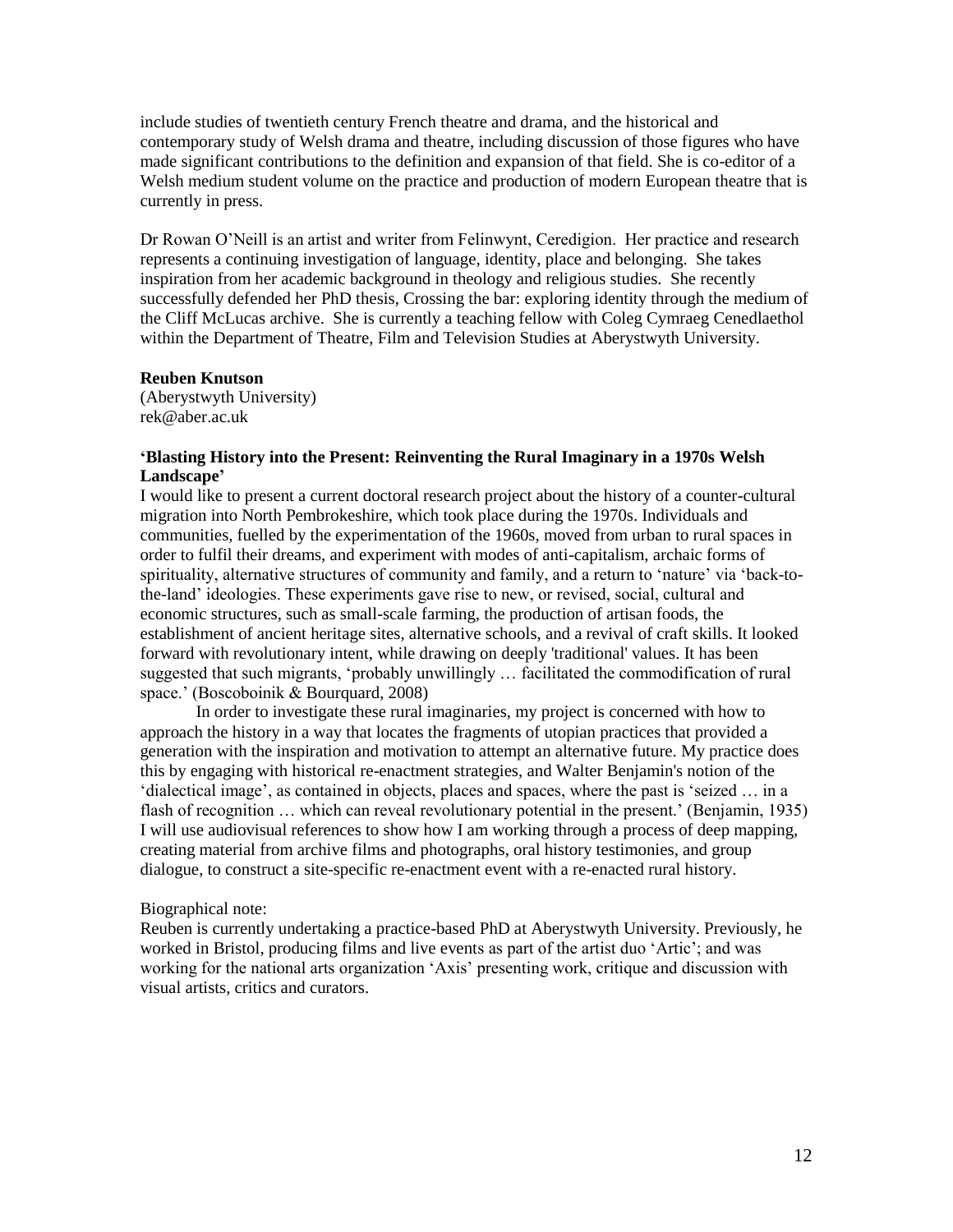include studies of twentieth century French theatre and drama, and the historical and contemporary study of Welsh drama and theatre, including discussion of those figures who have made significant contributions to the definition and expansion of that field. She is co-editor of a Welsh medium student volume on the practice and production of modern European theatre that is currently in press.

Dr Rowan O'Neill is an artist and writer from Felinwynt, Ceredigion. Her practice and research represents a continuing investigation of language, identity, place and belonging. She takes inspiration from her academic background in theology and religious studies. She recently successfully defended her PhD thesis, Crossing the bar: exploring identity through the medium of the Cliff McLucas archive. She is currently a teaching fellow with Coleg Cymraeg Cenedlaethol within the Department of Theatre, Film and Television Studies at Aberystwyth University.

# **Reuben Knutson**

(Aberystwyth University) rek@aber.ac.uk

# **'Blasting History into the Present: Reinventing the Rural Imaginary in a 1970s Welsh Landscape'**

I would like to present a current doctoral research project about the history of a counter-cultural migration into North Pembrokeshire, which took place during the 1970s. Individuals and communities, fuelled by the experimentation of the 1960s, moved from urban to rural spaces in order to fulfil their dreams, and experiment with modes of anti-capitalism, archaic forms of spirituality, alternative structures of community and family, and a return to 'nature' via 'back-tothe-land' ideologies. These experiments gave rise to new, or revised, social, cultural and economic structures, such as small-scale farming, the production of artisan foods, the establishment of ancient heritage sites, alternative schools, and a revival of craft skills. It looked forward with revolutionary intent, while drawing on deeply 'traditional' values. It has been suggested that such migrants, 'probably unwillingly … facilitated the commodification of rural space.' (Boscoboinik & Bourquard, 2008)

In order to investigate these rural imaginaries, my project is concerned with how to approach the history in a way that locates the fragments of utopian practices that provided a generation with the inspiration and motivation to attempt an alternative future. My practice does this by engaging with historical re-enactment strategies, and Walter Benjamin's notion of the 'dialectical image', as contained in objects, places and spaces, where the past is 'seized … in a flash of recognition ... which can reveal revolutionary potential in the present.' (Benjamin, 1935) I will use audiovisual references to show how I am working through a process of deep mapping, creating material from archive films and photographs, oral history testimonies, and group dialogue, to construct a site-specific re-enactment event with a re-enacted rural history.

# Biographical note:

Reuben is currently undertaking a practice-based PhD at Aberystwyth University. Previously, he worked in Bristol, producing films and live events as part of the artist duo 'Artic'; and was working for the national arts organization 'Axis' presenting work, critique and discussion with visual artists, critics and curators.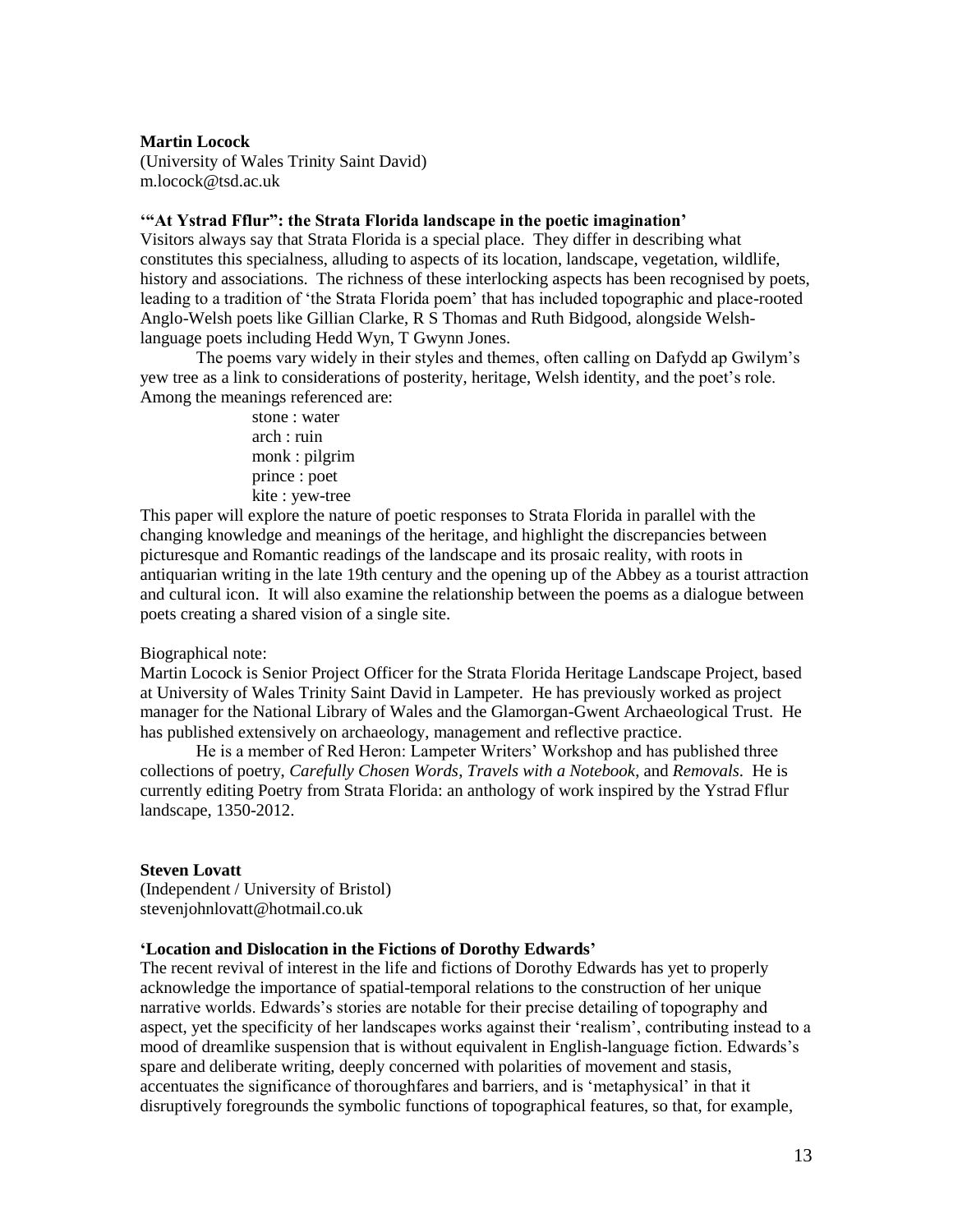#### **Martin Locock**

(University of Wales Trinity Saint David) m.locock@tsd.ac.uk

# **'"At Ystrad Fflur": the Strata Florida landscape in the poetic imagination'**

Visitors always say that Strata Florida is a special place. They differ in describing what constitutes this specialness, alluding to aspects of its location, landscape, vegetation, wildlife, history and associations. The richness of these interlocking aspects has been recognised by poets, leading to a tradition of 'the Strata Florida poem' that has included topographic and place-rooted Anglo-Welsh poets like Gillian Clarke, R S Thomas and Ruth Bidgood, alongside Welshlanguage poets including Hedd Wyn, T Gwynn Jones.

The poems vary widely in their styles and themes, often calling on Dafydd ap Gwilym's yew tree as a link to considerations of posterity, heritage, Welsh identity, and the poet's role. Among the meanings referenced are:

> stone : water  $arch \cdot r$ uin monk : pilgrim prince : poet kite : yew-tree

This paper will explore the nature of poetic responses to Strata Florida in parallel with the changing knowledge and meanings of the heritage, and highlight the discrepancies between picturesque and Romantic readings of the landscape and its prosaic reality, with roots in antiquarian writing in the late 19th century and the opening up of the Abbey as a tourist attraction and cultural icon. It will also examine the relationship between the poems as a dialogue between poets creating a shared vision of a single site.

#### Biographical note:

Martin Locock is Senior Project Officer for the Strata Florida Heritage Landscape Project, based at University of Wales Trinity Saint David in Lampeter. He has previously worked as project manager for the National Library of Wales and the Glamorgan-Gwent Archaeological Trust. He has published extensively on archaeology, management and reflective practice.

He is a member of Red Heron: Lampeter Writers' Workshop and has published three collections of poetry, *Carefully Chosen Words*, *Travels with a Notebook*, and *Removals*. He is currently editing Poetry from Strata Florida: an anthology of work inspired by the Ystrad Fflur landscape, 1350-2012.

# **Steven Lovatt**

(Independent / University of Bristol) stevenjohnlovatt@hotmail.co.uk

## **'Location and Dislocation in the Fictions of Dorothy Edwards'**

The recent revival of interest in the life and fictions of Dorothy Edwards has yet to properly acknowledge the importance of spatial-temporal relations to the construction of her unique narrative worlds. Edwards's stories are notable for their precise detailing of topography and aspect, yet the specificity of her landscapes works against their 'realism', contributing instead to a mood of dreamlike suspension that is without equivalent in English-language fiction. Edwards's spare and deliberate writing, deeply concerned with polarities of movement and stasis, accentuates the significance of thoroughfares and barriers, and is 'metaphysical' in that it disruptively foregrounds the symbolic functions of topographical features, so that, for example,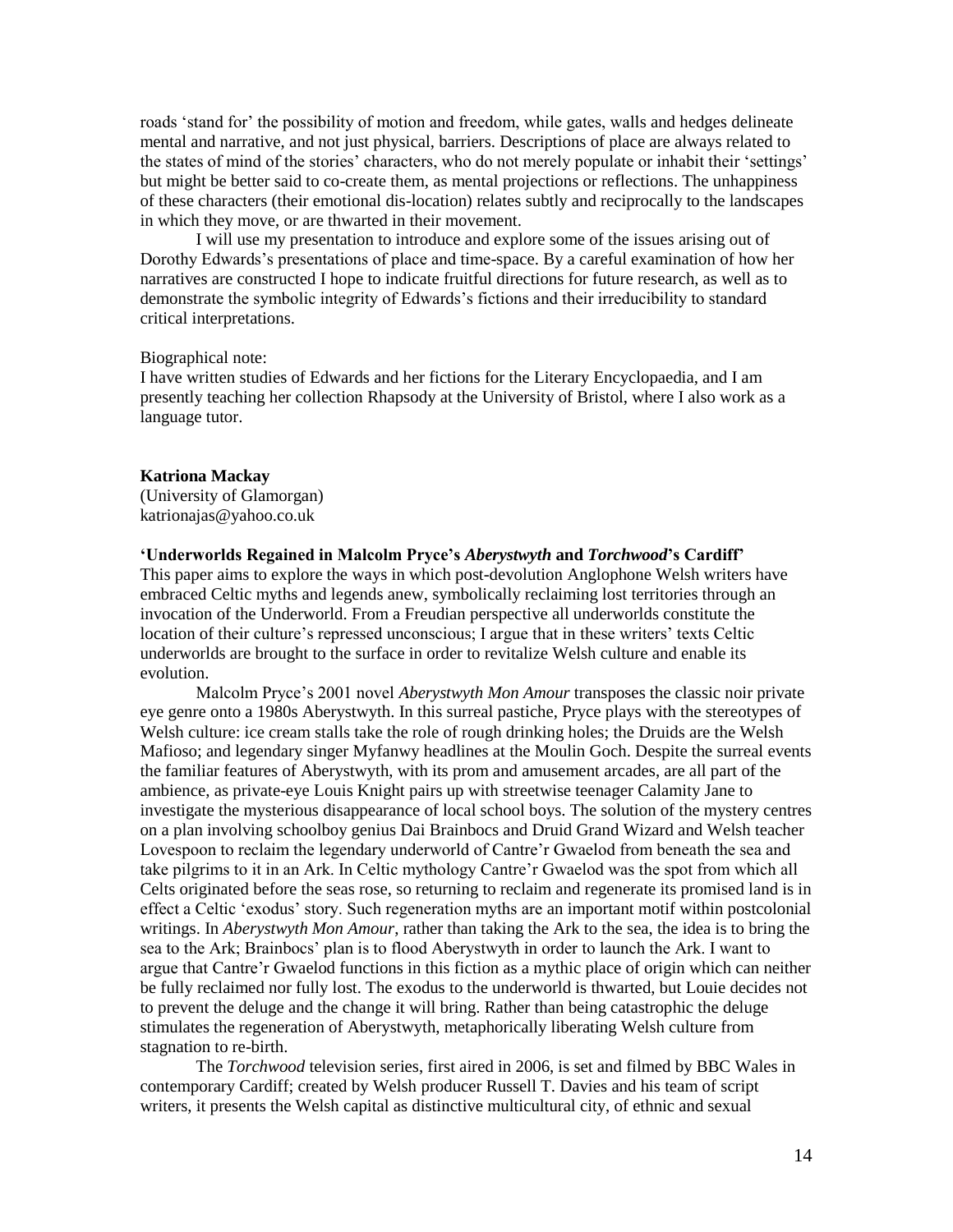roads 'stand for' the possibility of motion and freedom, while gates, walls and hedges delineate mental and narrative, and not just physical, barriers. Descriptions of place are always related to the states of mind of the stories' characters, who do not merely populate or inhabit their 'settings' but might be better said to co-create them, as mental projections or reflections. The unhappiness of these characters (their emotional dis-location) relates subtly and reciprocally to the landscapes in which they move, or are thwarted in their movement.

I will use my presentation to introduce and explore some of the issues arising out of Dorothy Edwards's presentations of place and time-space. By a careful examination of how her narratives are constructed I hope to indicate fruitful directions for future research, as well as to demonstrate the symbolic integrity of Edwards's fictions and their irreducibility to standard critical interpretations.

# Biographical note:

I have written studies of Edwards and her fictions for the Literary Encyclopaedia, and I am presently teaching her collection Rhapsody at the University of Bristol, where I also work as a language tutor.

#### **Katriona Mackay**

(University of Glamorgan) katrionajas@yahoo.co.uk

## **'Underworlds Regained in Malcolm Pryce's** *Aberystwyth* **and** *Torchwood***'s Cardiff'**

This paper aims to explore the ways in which post-devolution Anglophone Welsh writers have embraced Celtic myths and legends anew, symbolically reclaiming lost territories through an invocation of the Underworld. From a Freudian perspective all underworlds constitute the location of their culture's repressed unconscious; I argue that in these writers' texts Celtic underworlds are brought to the surface in order to revitalize Welsh culture and enable its evolution.

Malcolm Pryce's 2001 novel *Aberystwyth Mon Amour* transposes the classic noir private eye genre onto a 1980s Aberystwyth. In this surreal pastiche, Pryce plays with the stereotypes of Welsh culture: ice cream stalls take the role of rough drinking holes; the Druids are the Welsh Mafioso; and legendary singer Myfanwy headlines at the Moulin Goch. Despite the surreal events the familiar features of Aberystwyth, with its prom and amusement arcades, are all part of the ambience, as private-eye Louis Knight pairs up with streetwise teenager Calamity Jane to investigate the mysterious disappearance of local school boys. The solution of the mystery centres on a plan involving schoolboy genius Dai Brainbocs and Druid Grand Wizard and Welsh teacher Lovespoon to reclaim the legendary underworld of Cantre'r Gwaelod from beneath the sea and take pilgrims to it in an Ark. In Celtic mythology Cantre'r Gwaelod was the spot from which all Celts originated before the seas rose, so returning to reclaim and regenerate its promised land is in effect a Celtic 'exodus' story. Such regeneration myths are an important motif within postcolonial writings. In *Aberystwyth Mon Amour*, rather than taking the Ark to the sea, the idea is to bring the sea to the Ark; Brainbocs' plan is to flood Aberystwyth in order to launch the Ark. I want to argue that Cantre'r Gwaelod functions in this fiction as a mythic place of origin which can neither be fully reclaimed nor fully lost. The exodus to the underworld is thwarted, but Louie decides not to prevent the deluge and the change it will bring. Rather than being catastrophic the deluge stimulates the regeneration of Aberystwyth, metaphorically liberating Welsh culture from stagnation to re-birth.

The *Torchwood* television series, first aired in 2006, is set and filmed by BBC Wales in contemporary Cardiff; created by Welsh producer Russell T. Davies and his team of script writers, it presents the Welsh capital as distinctive multicultural city, of ethnic and sexual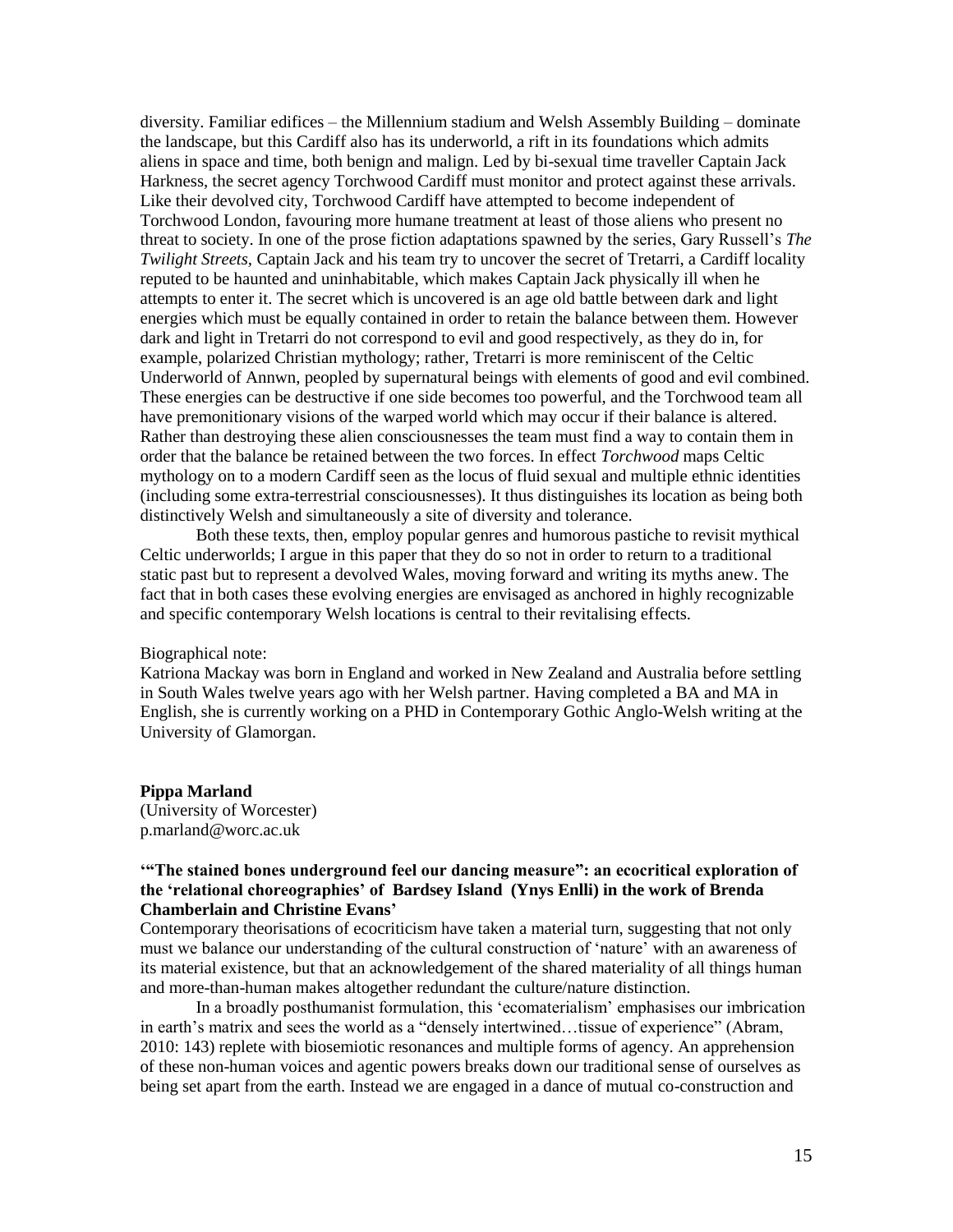diversity. Familiar edifices – the Millennium stadium and Welsh Assembly Building – dominate the landscape, but this Cardiff also has its underworld, a rift in its foundations which admits aliens in space and time, both benign and malign. Led by bi-sexual time traveller Captain Jack Harkness, the secret agency Torchwood Cardiff must monitor and protect against these arrivals. Like their devolved city, Torchwood Cardiff have attempted to become independent of Torchwood London, favouring more humane treatment at least of those aliens who present no threat to society. In one of the prose fiction adaptations spawned by the series, Gary Russell's *The Twilight Streets,* Captain Jack and his team try to uncover the secret of Tretarri, a Cardiff locality reputed to be haunted and uninhabitable, which makes Captain Jack physically ill when he attempts to enter it. The secret which is uncovered is an age old battle between dark and light energies which must be equally contained in order to retain the balance between them. However dark and light in Tretarri do not correspond to evil and good respectively, as they do in, for example, polarized Christian mythology; rather, Tretarri is more reminiscent of the Celtic Underworld of Annwn, peopled by supernatural beings with elements of good and evil combined. These energies can be destructive if one side becomes too powerful, and the Torchwood team all have premonitionary visions of the warped world which may occur if their balance is altered. Rather than destroying these alien consciousnesses the team must find a way to contain them in order that the balance be retained between the two forces. In effect *Torchwood* maps Celtic mythology on to a modern Cardiff seen as the locus of fluid sexual and multiple ethnic identities (including some extra-terrestrial consciousnesses). It thus distinguishes its location as being both distinctively Welsh and simultaneously a site of diversity and tolerance.

Both these texts, then, employ popular genres and humorous pastiche to revisit mythical Celtic underworlds; I argue in this paper that they do so not in order to return to a traditional static past but to represent a devolved Wales, moving forward and writing its myths anew. The fact that in both cases these evolving energies are envisaged as anchored in highly recognizable and specific contemporary Welsh locations is central to their revitalising effects.

#### Biographical note:

Katriona Mackay was born in England and worked in New Zealand and Australia before settling in South Wales twelve years ago with her Welsh partner. Having completed a BA and MA in English, she is currently working on a PHD in Contemporary Gothic Anglo-Welsh writing at the University of Glamorgan.

#### **Pippa Marland**

(University of Worcester) p.marland@worc.ac.uk

# **'"The stained bones underground feel our dancing measure": an ecocritical exploration of the 'relational choreographies' of Bardsey Island (Ynys Enlli) in the work of Brenda Chamberlain and Christine Evans'**

Contemporary theorisations of ecocriticism have taken a material turn, suggesting that not only must we balance our understanding of the cultural construction of 'nature' with an awareness of its material existence, but that an acknowledgement of the shared materiality of all things human and more-than-human makes altogether redundant the culture/nature distinction.

In a broadly posthumanist formulation, this 'ecomaterialism' emphasises our imbrication in earth's matrix and sees the world as a "densely intertwined…tissue of experience" (Abram, 2010: 143) replete with biosemiotic resonances and multiple forms of agency. An apprehension of these non-human voices and agentic powers breaks down our traditional sense of ourselves as being set apart from the earth. Instead we are engaged in a dance of mutual co-construction and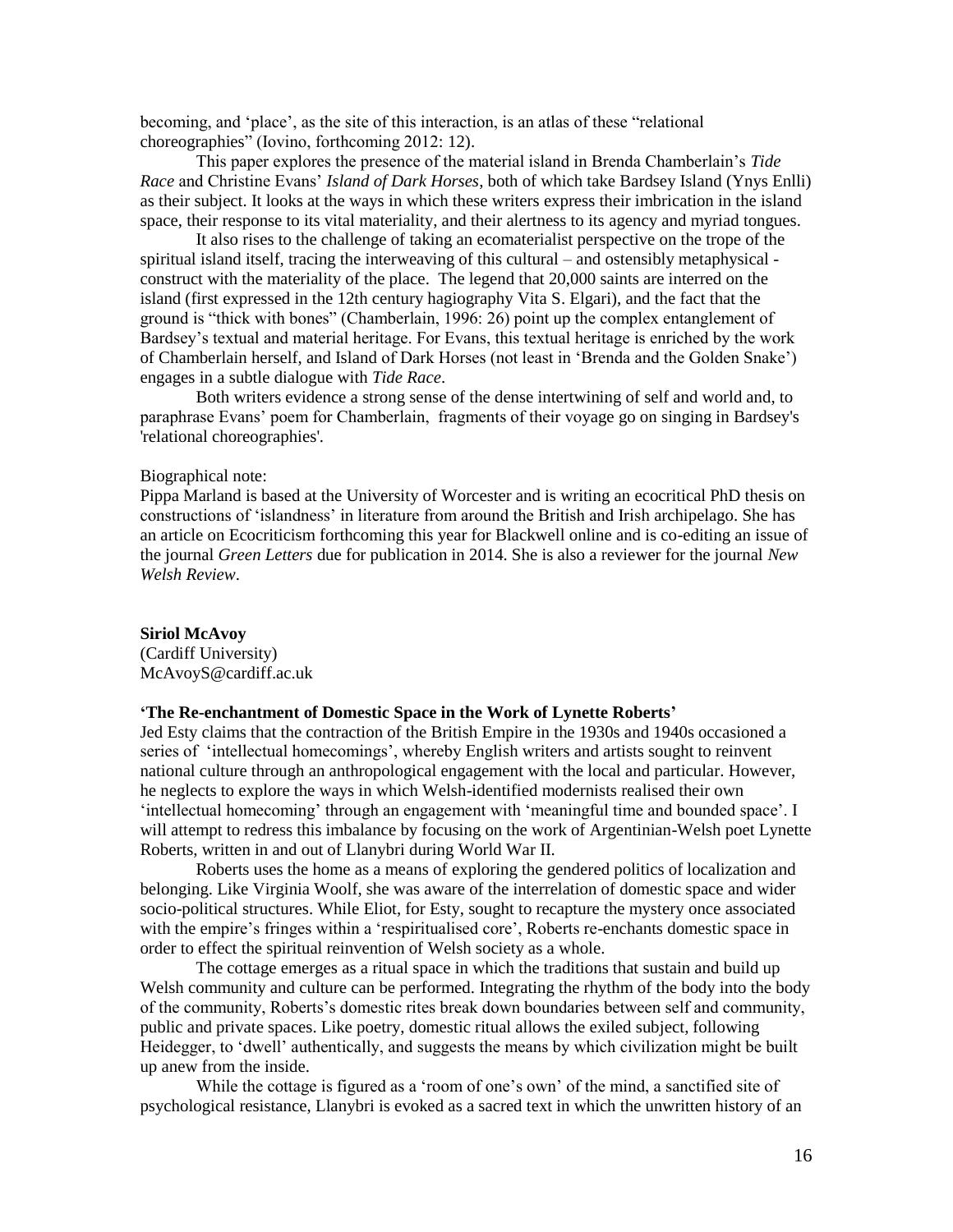becoming, and 'place', as the site of this interaction, is an atlas of these "relational choreographies" (Iovino, forthcoming 2012: 12).

This paper explores the presence of the material island in Brenda Chamberlain's *Tide Race* and Christine Evans' *Island of Dark Horses*, both of which take Bardsey Island (Ynys Enlli) as their subject. It looks at the ways in which these writers express their imbrication in the island space, their response to its vital materiality, and their alertness to its agency and myriad tongues.

It also rises to the challenge of taking an ecomaterialist perspective on the trope of the spiritual island itself, tracing the interweaving of this cultural – and ostensibly metaphysical construct with the materiality of the place. The legend that 20,000 saints are interred on the island (first expressed in the 12th century hagiography Vita S. Elgari), and the fact that the ground is "thick with bones" (Chamberlain, 1996: 26) point up the complex entanglement of Bardsey's textual and material heritage. For Evans, this textual heritage is enriched by the work of Chamberlain herself, and Island of Dark Horses (not least in 'Brenda and the Golden Snake') engages in a subtle dialogue with *Tide Race*.

Both writers evidence a strong sense of the dense intertwining of self and world and, to paraphrase Evans' poem for Chamberlain, fragments of their voyage go on singing in Bardsey's 'relational choreographies'.

#### Biographical note:

Pippa Marland is based at the University of Worcester and is writing an ecocritical PhD thesis on constructions of 'islandness' in literature from around the British and Irish archipelago. She has an article on Ecocriticism forthcoming this year for Blackwell online and is co-editing an issue of the journal *Green Letters* due for publication in 2014. She is also a reviewer for the journal *New Welsh Review*.

#### **Siriol McAvoy**

(Cardiff University) McAvoyS@cardiff.ac.uk

#### **'The Re-enchantment of Domestic Space in the Work of Lynette Roberts'**

Jed Esty claims that the contraction of the British Empire in the 1930s and 1940s occasioned a series of 'intellectual homecomings', whereby English writers and artists sought to reinvent national culture through an anthropological engagement with the local and particular. However, he neglects to explore the ways in which Welsh-identified modernists realised their own 'intellectual homecoming' through an engagement with 'meaningful time and bounded space'. I will attempt to redress this imbalance by focusing on the work of Argentinian-Welsh poet Lynette Roberts, written in and out of Llanybri during World War II.

Roberts uses the home as a means of exploring the gendered politics of localization and belonging. Like Virginia Woolf, she was aware of the interrelation of domestic space and wider socio-political structures. While Eliot, for Esty, sought to recapture the mystery once associated with the empire's fringes within a 'respiritualised core', Roberts re-enchants domestic space in order to effect the spiritual reinvention of Welsh society as a whole.

The cottage emerges as a ritual space in which the traditions that sustain and build up Welsh community and culture can be performed. Integrating the rhythm of the body into the body of the community, Roberts's domestic rites break down boundaries between self and community, public and private spaces. Like poetry, domestic ritual allows the exiled subject, following Heidegger, to 'dwell' authentically, and suggests the means by which civilization might be built up anew from the inside.

While the cottage is figured as a 'room of one's own' of the mind, a sanctified site of psychological resistance, Llanybri is evoked as a sacred text in which the unwritten history of an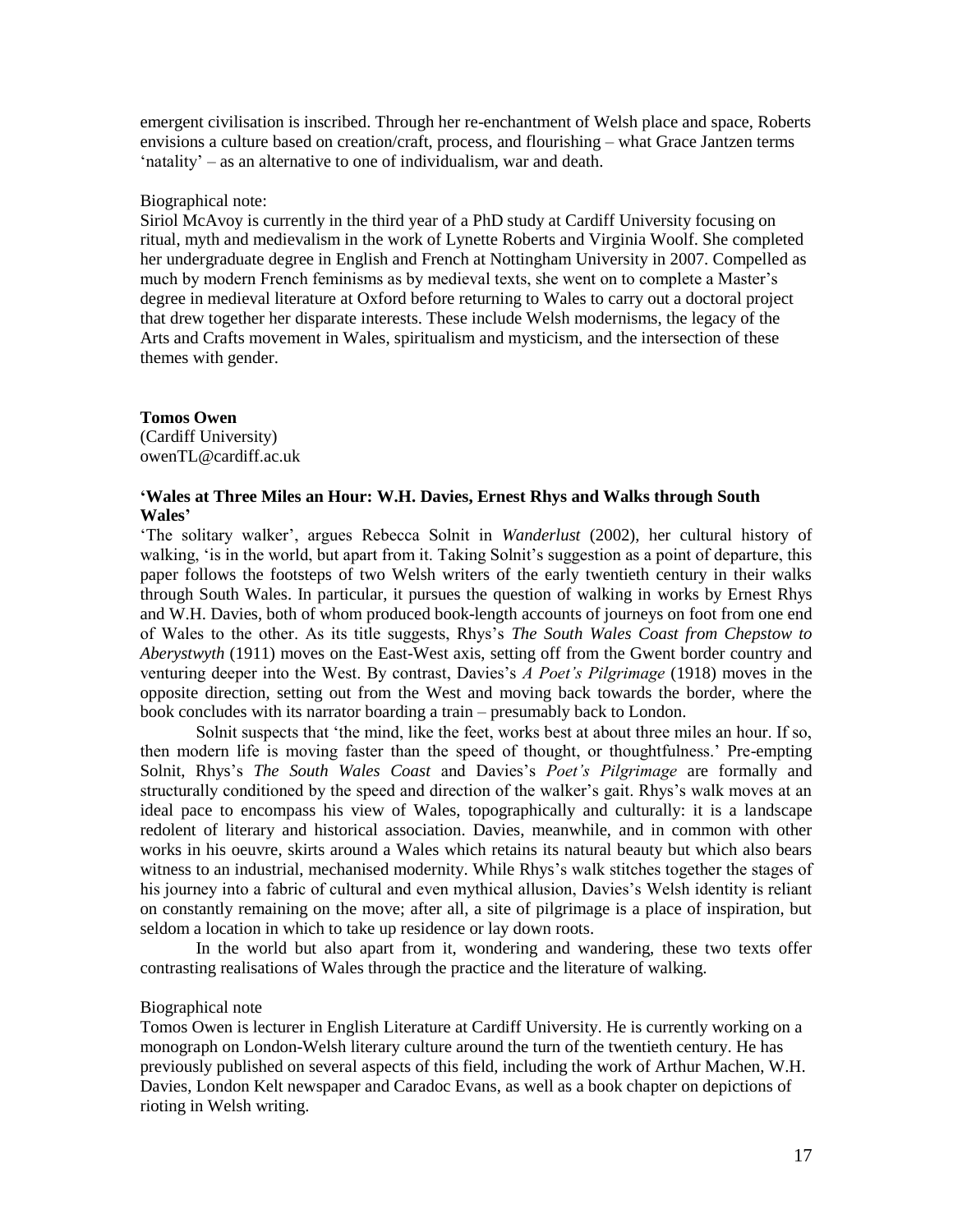emergent civilisation is inscribed. Through her re-enchantment of Welsh place and space, Roberts envisions a culture based on creation/craft, process, and flourishing – what Grace Jantzen terms 'natality' – as an alternative to one of individualism, war and death.

#### Biographical note:

Siriol McAvoy is currently in the third year of a PhD study at Cardiff University focusing on ritual, myth and medievalism in the work of Lynette Roberts and Virginia Woolf. She completed her undergraduate degree in English and French at Nottingham University in 2007. Compelled as much by modern French feminisms as by medieval texts, she went on to complete a Master's degree in medieval literature at Oxford before returning to Wales to carry out a doctoral project that drew together her disparate interests. These include Welsh modernisms, the legacy of the Arts and Crafts movement in Wales, spiritualism and mysticism, and the intersection of these themes with gender.

#### **Tomos Owen**

(Cardiff University) owenTL@cardiff.ac.uk

# **'Wales at Three Miles an Hour: W.H. Davies, Ernest Rhys and Walks through South Wales'**

'The solitary walker', argues Rebecca Solnit in *Wanderlust* (2002), her cultural history of walking, 'is in the world, but apart from it. Taking Solnit's suggestion as a point of departure, this paper follows the footsteps of two Welsh writers of the early twentieth century in their walks through South Wales. In particular, it pursues the question of walking in works by Ernest Rhys and W.H. Davies, both of whom produced book-length accounts of journeys on foot from one end of Wales to the other. As its title suggests, Rhys's *The South Wales Coast from Chepstow to Aberystwyth* (1911) moves on the East-West axis, setting off from the Gwent border country and venturing deeper into the West. By contrast, Davies's *A Poet's Pilgrimage* (1918) moves in the opposite direction, setting out from the West and moving back towards the border, where the book concludes with its narrator boarding a train – presumably back to London.

Solnit suspects that 'the mind, like the feet, works best at about three miles an hour. If so, then modern life is moving faster than the speed of thought, or thoughtfulness.' Pre-empting Solnit, Rhys's *The South Wales Coast* and Davies's *Poet's Pilgrimage* are formally and structurally conditioned by the speed and direction of the walker's gait. Rhys's walk moves at an ideal pace to encompass his view of Wales, topographically and culturally: it is a landscape redolent of literary and historical association. Davies, meanwhile, and in common with other works in his oeuvre, skirts around a Wales which retains its natural beauty but which also bears witness to an industrial, mechanised modernity. While Rhys's walk stitches together the stages of his journey into a fabric of cultural and even mythical allusion, Davies's Welsh identity is reliant on constantly remaining on the move; after all, a site of pilgrimage is a place of inspiration, but seldom a location in which to take up residence or lay down roots.

In the world but also apart from it, wondering and wandering, these two texts offer contrasting realisations of Wales through the practice and the literature of walking.

#### Biographical note

Tomos Owen is lecturer in English Literature at Cardiff University. He is currently working on a monograph on London-Welsh literary culture around the turn of the twentieth century. He has previously published on several aspects of this field, including the work of Arthur Machen, W.H. Davies, London Kelt newspaper and Caradoc Evans, as well as a book chapter on depictions of rioting in Welsh writing.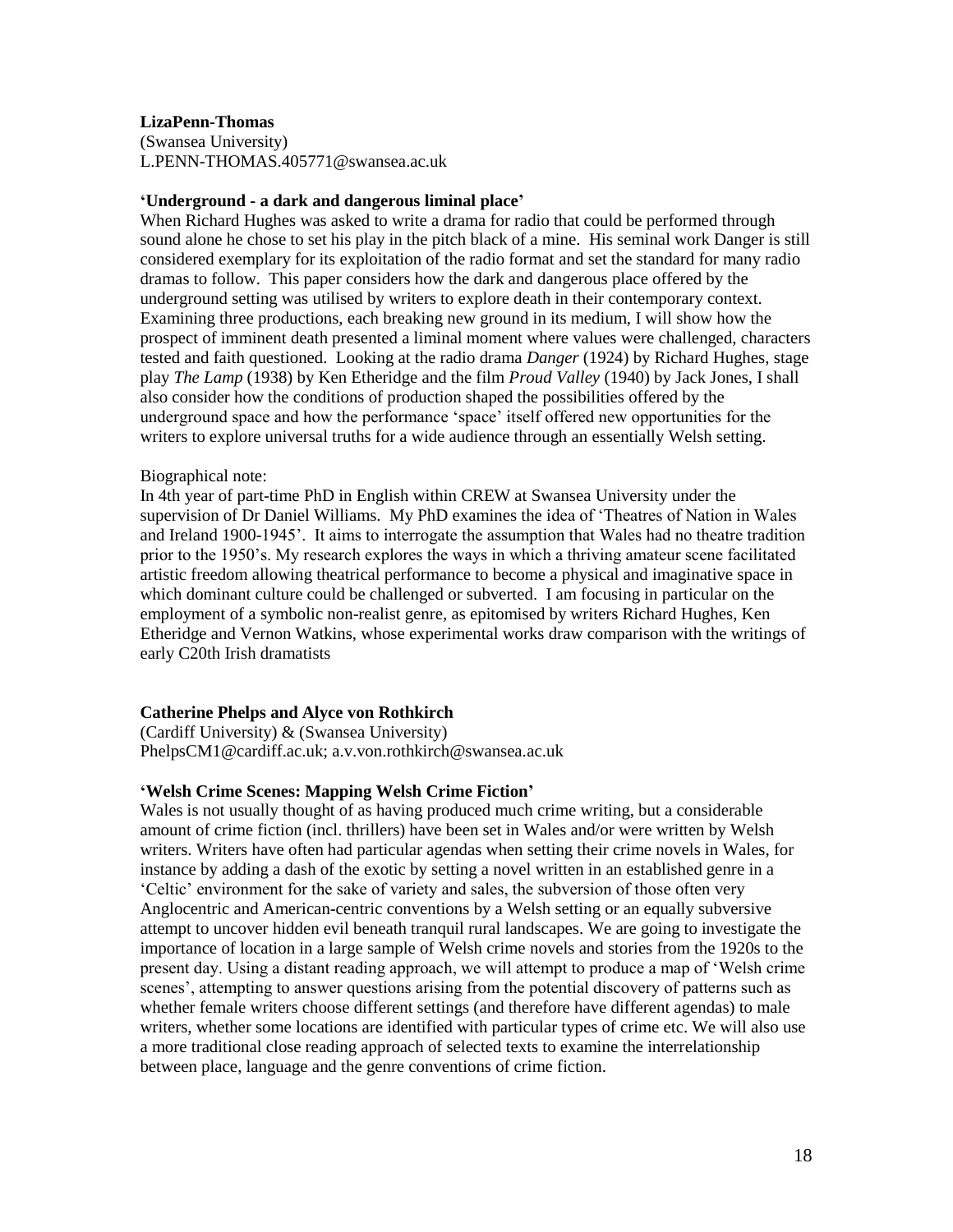# **LizaPenn-Thomas**

(Swansea University) L.PENN-THOMAS.405771@swansea.ac.uk

#### **'Underground - a dark and dangerous liminal place'**

When Richard Hughes was asked to write a drama for radio that could be performed through sound alone he chose to set his play in the pitch black of a mine. His seminal work Danger is still considered exemplary for its exploitation of the radio format and set the standard for many radio dramas to follow. This paper considers how the dark and dangerous place offered by the underground setting was utilised by writers to explore death in their contemporary context. Examining three productions, each breaking new ground in its medium, I will show how the prospect of imminent death presented a liminal moment where values were challenged, characters tested and faith questioned. Looking at the radio drama *Danger* (1924) by Richard Hughes, stage play *The Lamp* (1938) by Ken Etheridge and the film *Proud Valley* (1940) by Jack Jones, I shall also consider how the conditions of production shaped the possibilities offered by the underground space and how the performance 'space' itself offered new opportunities for the writers to explore universal truths for a wide audience through an essentially Welsh setting.

#### Biographical note:

In 4th year of part-time PhD in English within CREW at Swansea University under the supervision of Dr Daniel Williams. My PhD examines the idea of 'Theatres of Nation in Wales and Ireland 1900-1945'. It aims to interrogate the assumption that Wales had no theatre tradition prior to the 1950's. My research explores the ways in which a thriving amateur scene facilitated artistic freedom allowing theatrical performance to become a physical and imaginative space in which dominant culture could be challenged or subverted. I am focusing in particular on the employment of a symbolic non-realist genre, as epitomised by writers Richard Hughes, Ken Etheridge and Vernon Watkins, whose experimental works draw comparison with the writings of early C20th Irish dramatists

# **Catherine Phelps and Alyce von Rothkirch**

(Cardiff University) & (Swansea University) PhelpsCM1@cardiff.ac.uk; a.v.von.rothkirch@swansea.ac.uk

#### **'Welsh Crime Scenes: Mapping Welsh Crime Fiction'**

Wales is not usually thought of as having produced much crime writing, but a considerable amount of crime fiction (incl. thrillers) have been set in Wales and/or were written by Welsh writers. Writers have often had particular agendas when setting their crime novels in Wales, for instance by adding a dash of the exotic by setting a novel written in an established genre in a 'Celtic' environment for the sake of variety and sales, the subversion of those often very Anglocentric and American-centric conventions by a Welsh setting or an equally subversive attempt to uncover hidden evil beneath tranquil rural landscapes. We are going to investigate the importance of location in a large sample of Welsh crime novels and stories from the 1920s to the present day. Using a distant reading approach, we will attempt to produce a map of 'Welsh crime scenes', attempting to answer questions arising from the potential discovery of patterns such as whether female writers choose different settings (and therefore have different agendas) to male writers, whether some locations are identified with particular types of crime etc. We will also use a more traditional close reading approach of selected texts to examine the interrelationship between place, language and the genre conventions of crime fiction.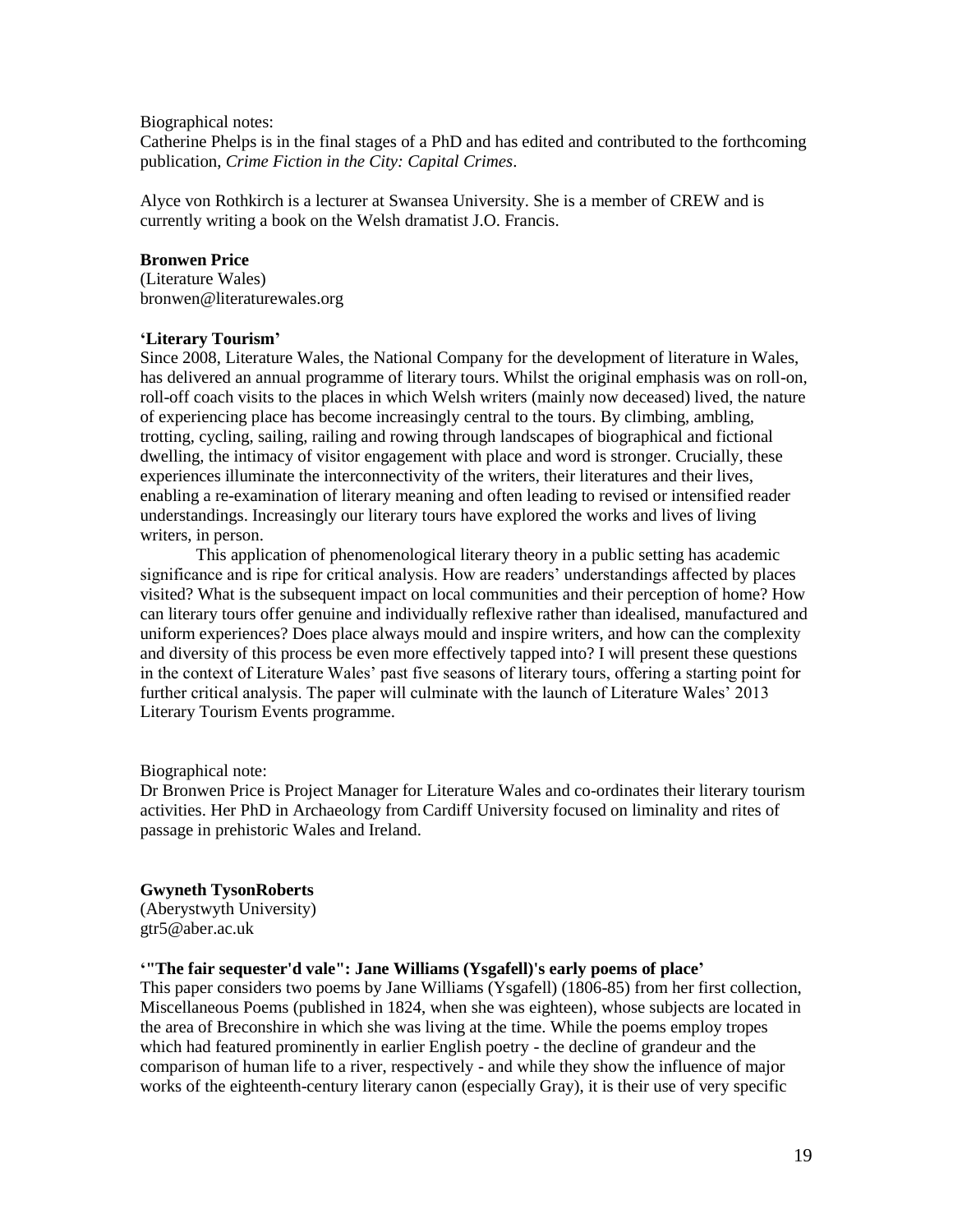Biographical notes:

Catherine Phelps is in the final stages of a PhD and has edited and contributed to the forthcoming publication, *Crime Fiction in the City: Capital Crimes*.

Alyce von Rothkirch is a lecturer at Swansea University. She is a member of CREW and is currently writing a book on the Welsh dramatist J.O. Francis.

#### **Bronwen Price**

(Literature Wales) bronwen@literaturewales.org

#### **'Literary Tourism'**

Since 2008, Literature Wales, the National Company for the development of literature in Wales, has delivered an annual programme of literary tours. Whilst the original emphasis was on roll-on, roll-off coach visits to the places in which Welsh writers (mainly now deceased) lived, the nature of experiencing place has become increasingly central to the tours. By climbing, ambling, trotting, cycling, sailing, railing and rowing through landscapes of biographical and fictional dwelling, the intimacy of visitor engagement with place and word is stronger. Crucially, these experiences illuminate the interconnectivity of the writers, their literatures and their lives, enabling a re-examination of literary meaning and often leading to revised or intensified reader understandings. Increasingly our literary tours have explored the works and lives of living writers, in person.

This application of phenomenological literary theory in a public setting has academic significance and is ripe for critical analysis. How are readers' understandings affected by places visited? What is the subsequent impact on local communities and their perception of home? How can literary tours offer genuine and individually reflexive rather than idealised, manufactured and uniform experiences? Does place always mould and inspire writers, and how can the complexity and diversity of this process be even more effectively tapped into? I will present these questions in the context of Literature Wales' past five seasons of literary tours, offering a starting point for further critical analysis. The paper will culminate with the launch of Literature Wales' 2013 Literary Tourism Events programme.

Biographical note:

Dr Bronwen Price is Project Manager for Literature Wales and co-ordinates their literary tourism activities. Her PhD in Archaeology from Cardiff University focused on liminality and rites of passage in prehistoric Wales and Ireland.

# **Gwyneth TysonRoberts**

(Aberystwyth University) gtr5@aber.ac.uk

#### **'"The fair sequester'd vale": Jane Williams (Ysgafell)'s early poems of place'**

This paper considers two poems by Jane Williams (Ysgafell) (1806-85) from her first collection, Miscellaneous Poems (published in 1824, when she was eighteen), whose subjects are located in the area of Breconshire in which she was living at the time. While the poems employ tropes which had featured prominently in earlier English poetry - the decline of grandeur and the comparison of human life to a river, respectively - and while they show the influence of major works of the eighteenth-century literary canon (especially Gray), it is their use of very specific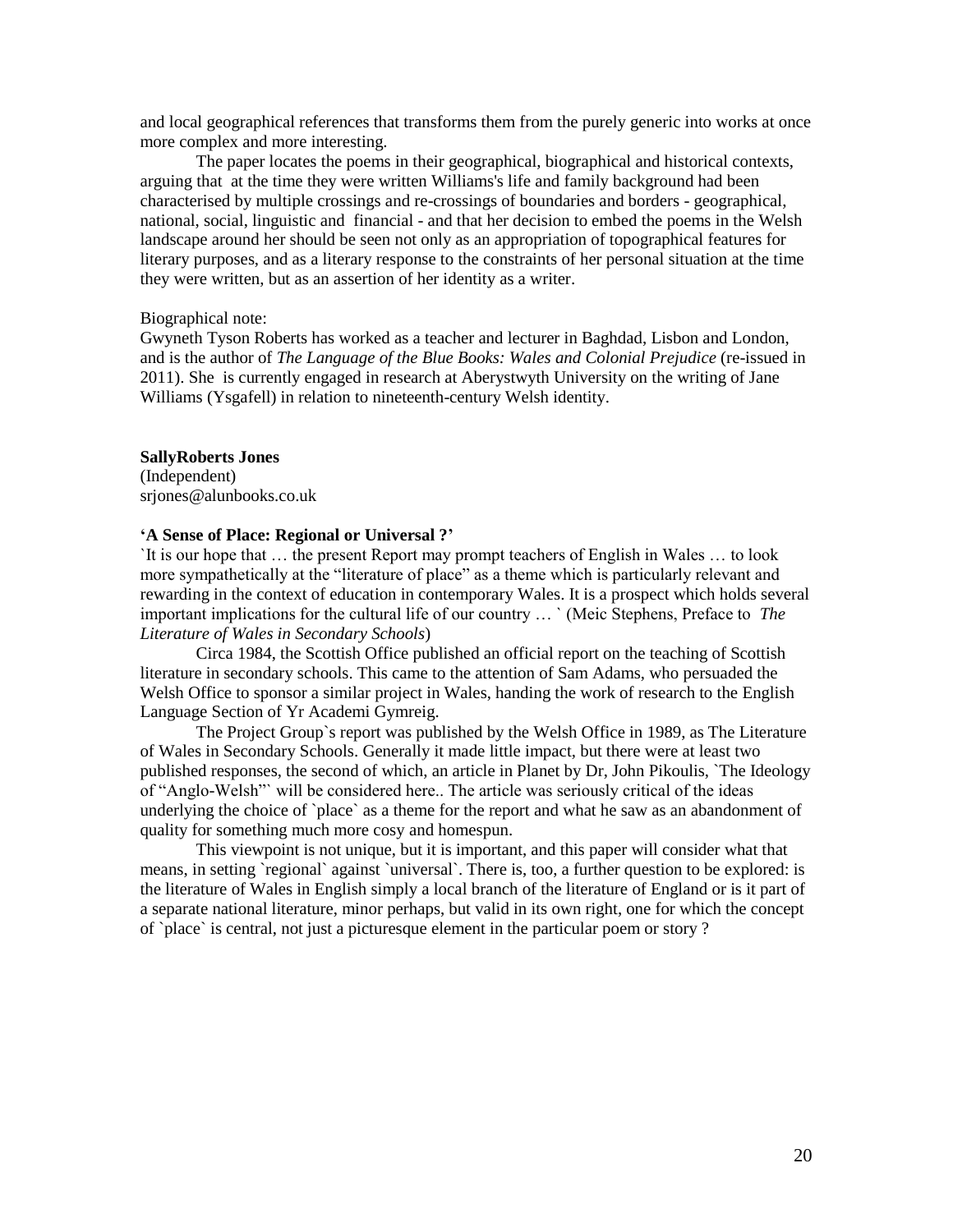and local geographical references that transforms them from the purely generic into works at once more complex and more interesting.

The paper locates the poems in their geographical, biographical and historical contexts, arguing that at the time they were written Williams's life and family background had been characterised by multiple crossings and re-crossings of boundaries and borders - geographical, national, social, linguistic and financial - and that her decision to embed the poems in the Welsh landscape around her should be seen not only as an appropriation of topographical features for literary purposes, and as a literary response to the constraints of her personal situation at the time they were written, but as an assertion of her identity as a writer.

#### Biographical note:

Gwyneth Tyson Roberts has worked as a teacher and lecturer in Baghdad, Lisbon and London, and is the author of *The Language of the Blue Books: Wales and Colonial Prejudice* (re-issued in 2011). She is currently engaged in research at Aberystwyth University on the writing of Jane Williams (Ysgafell) in relation to nineteenth-century Welsh identity.

#### **SallyRoberts Jones**

(Independent) srjones@alunbooks.co.uk

#### **'A Sense of Place: Regional or Universal ?'**

`It is our hope that … the present Report may prompt teachers of English in Wales … to look more sympathetically at the "literature of place" as a theme which is particularly relevant and rewarding in the context of education in contemporary Wales. It is a prospect which holds several important implications for the cultural life of our country … ` (Meic Stephens, Preface to *The Literature of Wales in Secondary Schools*)

Circa 1984, the Scottish Office published an official report on the teaching of Scottish literature in secondary schools. This came to the attention of Sam Adams, who persuaded the Welsh Office to sponsor a similar project in Wales, handing the work of research to the English Language Section of Yr Academi Gymreig.

The Project Group`s report was published by the Welsh Office in 1989, as The Literature of Wales in Secondary Schools. Generally it made little impact, but there were at least two published responses, the second of which, an article in Planet by Dr, John Pikoulis, `The Ideology of "Anglo-Welsh"` will be considered here.. The article was seriously critical of the ideas underlying the choice of `place` as a theme for the report and what he saw as an abandonment of quality for something much more cosy and homespun.

This viewpoint is not unique, but it is important, and this paper will consider what that means, in setting `regional` against `universal`. There is, too, a further question to be explored: is the literature of Wales in English simply a local branch of the literature of England or is it part of a separate national literature, minor perhaps, but valid in its own right, one for which the concept of `place` is central, not just a picturesque element in the particular poem or story ?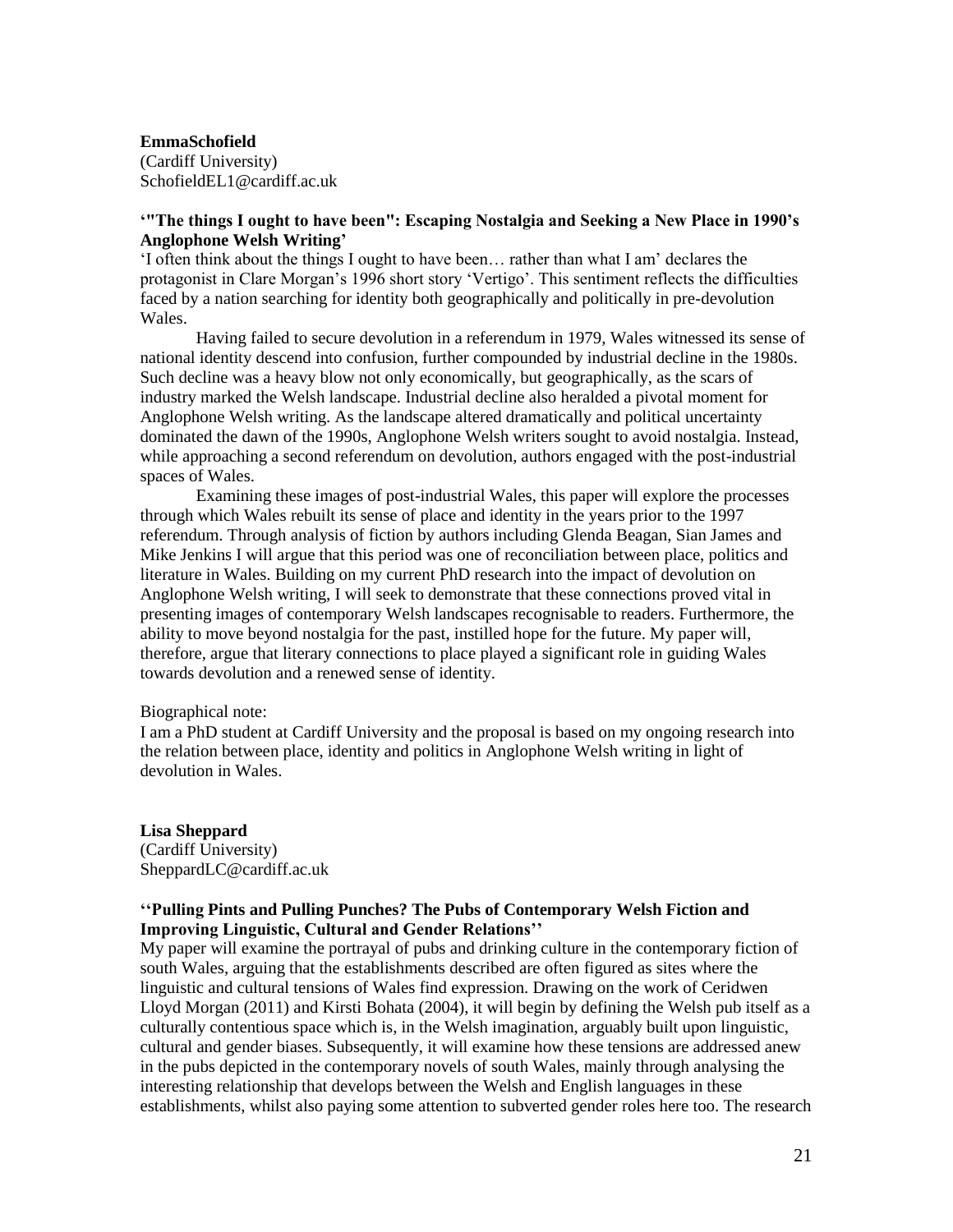## **EmmaSchofield** (Cardiff University) SchofieldEL1@cardiff.ac.uk

# **'"The things I ought to have been": Escaping Nostalgia and Seeking a New Place in 1990's Anglophone Welsh Writing'**

'I often think about the things I ought to have been… rather than what I am' declares the protagonist in Clare Morgan's 1996 short story 'Vertigo'. This sentiment reflects the difficulties faced by a nation searching for identity both geographically and politically in pre-devolution Wales.

Having failed to secure devolution in a referendum in 1979, Wales witnessed its sense of national identity descend into confusion, further compounded by industrial decline in the 1980s. Such decline was a heavy blow not only economically, but geographically, as the scars of industry marked the Welsh landscape. Industrial decline also heralded a pivotal moment for Anglophone Welsh writing. As the landscape altered dramatically and political uncertainty dominated the dawn of the 1990s, Anglophone Welsh writers sought to avoid nostalgia. Instead, while approaching a second referendum on devolution, authors engaged with the post-industrial spaces of Wales.

Examining these images of post-industrial Wales, this paper will explore the processes through which Wales rebuilt its sense of place and identity in the years prior to the 1997 referendum. Through analysis of fiction by authors including Glenda Beagan, Sian James and Mike Jenkins I will argue that this period was one of reconciliation between place, politics and literature in Wales. Building on my current PhD research into the impact of devolution on Anglophone Welsh writing, I will seek to demonstrate that these connections proved vital in presenting images of contemporary Welsh landscapes recognisable to readers. Furthermore, the ability to move beyond nostalgia for the past, instilled hope for the future. My paper will, therefore, argue that literary connections to place played a significant role in guiding Wales towards devolution and a renewed sense of identity.

#### Biographical note:

I am a PhD student at Cardiff University and the proposal is based on my ongoing research into the relation between place, identity and politics in Anglophone Welsh writing in light of devolution in Wales.

**Lisa Sheppard** (Cardiff University) SheppardLC@cardiff.ac.uk

# **''Pulling Pints and Pulling Punches? The Pubs of Contemporary Welsh Fiction and Improving Linguistic, Cultural and Gender Relations''**

My paper will examine the portrayal of pubs and drinking culture in the contemporary fiction of south Wales, arguing that the establishments described are often figured as sites where the linguistic and cultural tensions of Wales find expression. Drawing on the work of Ceridwen Lloyd Morgan (2011) and Kirsti Bohata (2004), it will begin by defining the Welsh pub itself as a culturally contentious space which is, in the Welsh imagination, arguably built upon linguistic, cultural and gender biases. Subsequently, it will examine how these tensions are addressed anew in the pubs depicted in the contemporary novels of south Wales, mainly through analysing the interesting relationship that develops between the Welsh and English languages in these establishments, whilst also paying some attention to subverted gender roles here too. The research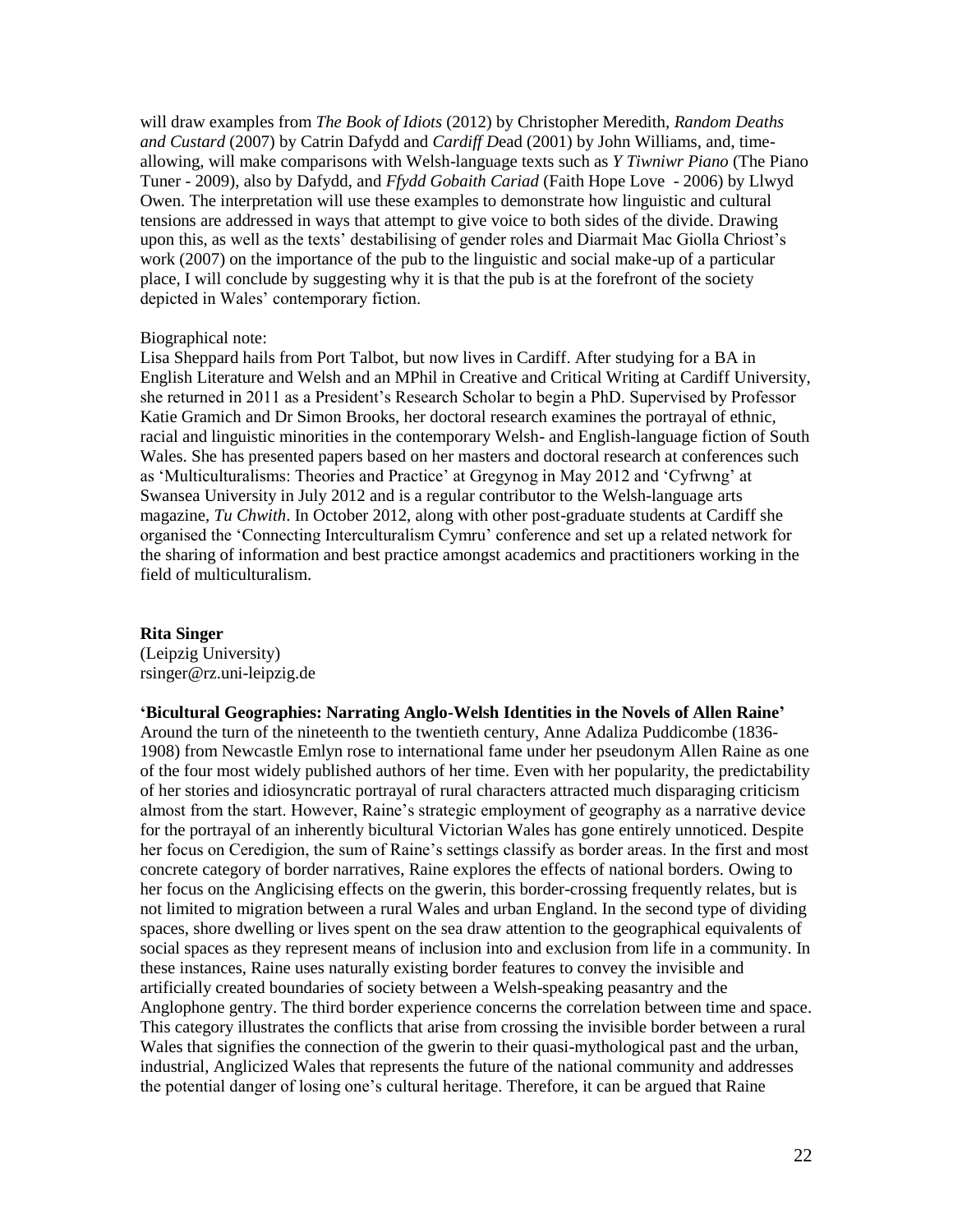will draw examples from *The Book of Idiots* (2012) by Christopher Meredith, *Random Deaths and Custard* (2007) by Catrin Dafydd and *Cardiff D*ead (2001) by John Williams, and, timeallowing, will make comparisons with Welsh-language texts such as *Y Tiwniwr Piano* (The Piano Tuner - 2009), also by Dafydd, and *Ffydd Gobaith Cariad* (Faith Hope Love - 2006) by Llwyd Owen. The interpretation will use these examples to demonstrate how linguistic and cultural tensions are addressed in ways that attempt to give voice to both sides of the divide. Drawing upon this, as well as the texts' destabilising of gender roles and Diarmait Mac Giolla Chriost's work (2007) on the importance of the pub to the linguistic and social make-up of a particular place, I will conclude by suggesting why it is that the pub is at the forefront of the society depicted in Wales' contemporary fiction.

#### Biographical note:

Lisa Sheppard hails from Port Talbot, but now lives in Cardiff. After studying for a BA in English Literature and Welsh and an MPhil in Creative and Critical Writing at Cardiff University, she returned in 2011 as a President's Research Scholar to begin a PhD. Supervised by Professor Katie Gramich and Dr Simon Brooks, her doctoral research examines the portrayal of ethnic, racial and linguistic minorities in the contemporary Welsh- and English-language fiction of South Wales. She has presented papers based on her masters and doctoral research at conferences such as 'Multiculturalisms: Theories and Practice' at Gregynog in May 2012 and 'Cyfrwng' at Swansea University in July 2012 and is a regular contributor to the Welsh-language arts magazine, *Tu Chwith*. In October 2012, along with other post-graduate students at Cardiff she organised the 'Connecting Interculturalism Cymru' conference and set up a related network for the sharing of information and best practice amongst academics and practitioners working in the field of multiculturalism.

#### **Rita Singer**

(Leipzig University) rsinger@rz.uni-leipzig.de

### **'Bicultural Geographies: Narrating Anglo-Welsh Identities in the Novels of Allen Raine'**

Around the turn of the nineteenth to the twentieth century, Anne Adaliza Puddicombe (1836- 1908) from Newcastle Emlyn rose to international fame under her pseudonym Allen Raine as one of the four most widely published authors of her time. Even with her popularity, the predictability of her stories and idiosyncratic portrayal of rural characters attracted much disparaging criticism almost from the start. However, Raine's strategic employment of geography as a narrative device for the portrayal of an inherently bicultural Victorian Wales has gone entirely unnoticed. Despite her focus on Ceredigion, the sum of Raine's settings classify as border areas. In the first and most concrete category of border narratives, Raine explores the effects of national borders. Owing to her focus on the Anglicising effects on the gwerin, this border-crossing frequently relates, but is not limited to migration between a rural Wales and urban England. In the second type of dividing spaces, shore dwelling or lives spent on the sea draw attention to the geographical equivalents of social spaces as they represent means of inclusion into and exclusion from life in a community. In these instances, Raine uses naturally existing border features to convey the invisible and artificially created boundaries of society between a Welsh-speaking peasantry and the Anglophone gentry. The third border experience concerns the correlation between time and space. This category illustrates the conflicts that arise from crossing the invisible border between a rural Wales that signifies the connection of the gwerin to their quasi-mythological past and the urban, industrial, Anglicized Wales that represents the future of the national community and addresses the potential danger of losing one's cultural heritage. Therefore, it can be argued that Raine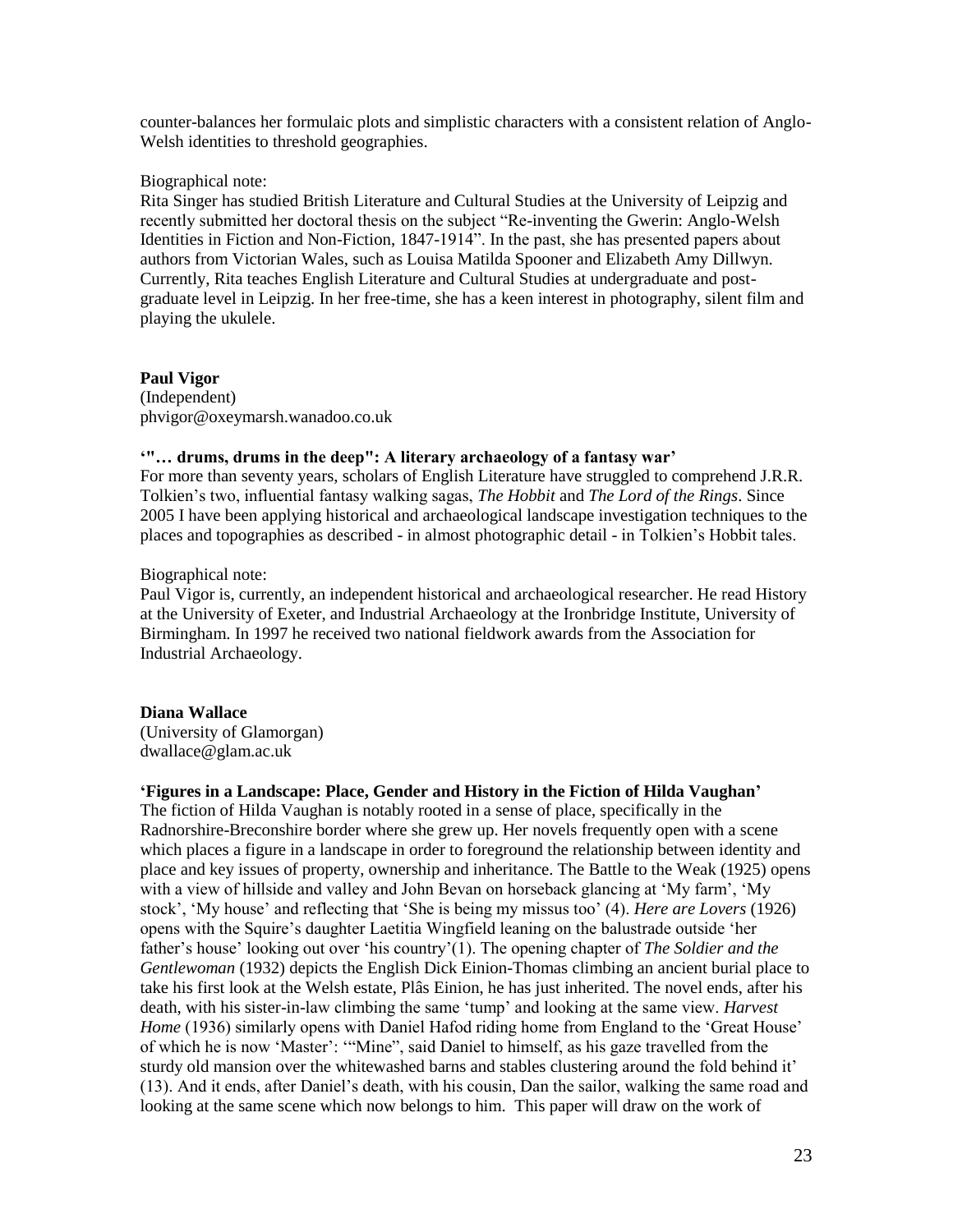counter-balances her formulaic plots and simplistic characters with a consistent relation of Anglo-Welsh identities to threshold geographies.

#### Biographical note:

Rita Singer has studied British Literature and Cultural Studies at the University of Leipzig and recently submitted her doctoral thesis on the subject "Re-inventing the Gwerin: Anglo-Welsh Identities in Fiction and Non-Fiction, 1847-1914". In the past, she has presented papers about authors from Victorian Wales, such as Louisa Matilda Spooner and Elizabeth Amy Dillwyn. Currently, Rita teaches English Literature and Cultural Studies at undergraduate and postgraduate level in Leipzig. In her free-time, she has a keen interest in photography, silent film and playing the ukulele.

# **Paul Vigor**

(Independent) phvigor@oxeymarsh.wanadoo.co.uk

#### **'"… drums, drums in the deep": A literary archaeology of a fantasy war'**

For more than seventy years, scholars of English Literature have struggled to comprehend J.R.R. Tolkien's two, influential fantasy walking sagas, *The Hobbit* and *The Lord of the Rings*. Since 2005 I have been applying historical and archaeological landscape investigation techniques to the places and topographies as described - in almost photographic detail - in Tolkien's Hobbit tales.

# Biographical note:

Paul Vigor is, currently, an independent historical and archaeological researcher. He read History at the University of Exeter, and Industrial Archaeology at the Ironbridge Institute, University of Birmingham. In 1997 he received two national fieldwork awards from the Association for Industrial Archaeology.

### **Diana Wallace**

(University of Glamorgan) dwallace@glam.ac.uk

# **'Figures in a Landscape: Place, Gender and History in the Fiction of Hilda Vaughan'**

The fiction of Hilda Vaughan is notably rooted in a sense of place, specifically in the Radnorshire-Breconshire border where she grew up. Her novels frequently open with a scene which places a figure in a landscape in order to foreground the relationship between identity and place and key issues of property, ownership and inheritance. The Battle to the Weak (1925) opens with a view of hillside and valley and John Bevan on horseback glancing at 'My farm', 'My stock', 'My house' and reflecting that 'She is being my missus too' (4). *Here are Lovers* (1926) opens with the Squire's daughter Laetitia Wingfield leaning on the balustrade outside 'her father's house' looking out over 'his country'(1). The opening chapter of *The Soldier and the Gentlewoman* (1932) depicts the English Dick Einion-Thomas climbing an ancient burial place to take his first look at the Welsh estate, Plâs Einion, he has just inherited. The novel ends, after his death, with his sister-in-law climbing the same 'tump' and looking at the same view. *Harvest Home* (1936) similarly opens with Daniel Hafod riding home from England to the 'Great House' of which he is now 'Master': '"Mine", said Daniel to himself, as his gaze travelled from the sturdy old mansion over the whitewashed barns and stables clustering around the fold behind it' (13). And it ends, after Daniel's death, with his cousin, Dan the sailor, walking the same road and looking at the same scene which now belongs to him. This paper will draw on the work of